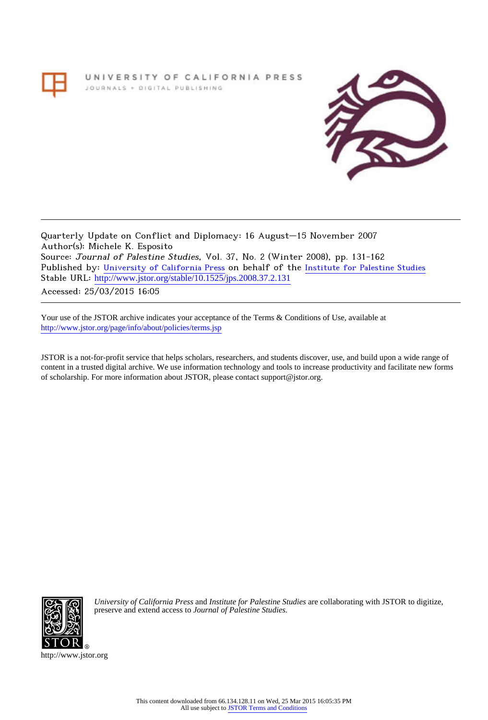## UNIVERSITY OF CALIFORNIA PRESS JOURNALS + DIGITAL PUBLISHING



Quarterly Update on Conflict and Diplomacy: 16 August–15 November 2007 Author(s): Michele K. Esposito Source: Journal of Palestine Studies, Vol. 37, No. 2 (Winter 2008), pp. 131-162 Published by: [University of California Press](http://www.jstor.org/action/showPublisher?publisherCode=ucal) on behalf of the [Institute for Palestine Studies](http://www.jstor.org/action/showPublisher?publisherCode=palstud) Stable URL: http://www.jstor.org/stable/10.1525/jps.2008.37.2.131

Accessed: 25/03/2015 16:05

Your use of the JSTOR archive indicates your acceptance of the Terms & Conditions of Use, available at <http://www.jstor.org/page/info/about/policies/terms.jsp>

JSTOR is a not-for-profit service that helps scholars, researchers, and students discover, use, and build upon a wide range of content in a trusted digital archive. We use information technology and tools to increase productivity and facilitate new forms of scholarship. For more information about JSTOR, please contact support@jstor.org.



*University of California Press* and *Institute for Palestine Studies* are collaborating with JSTOR to digitize, preserve and extend access to *Journal of Palestine Studies.*

http://www.jstor.org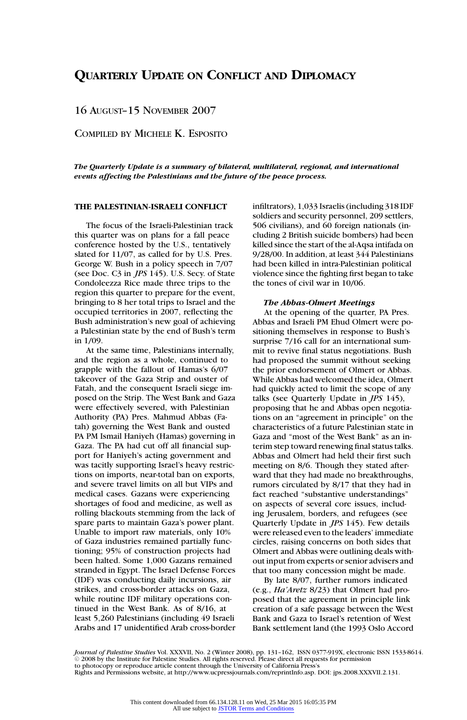# **QUARTERLY UPDATE ON CONFLICT AND DIPLOMACY**

16 AUGUST–15 NOVEMBER 2007

COMPILED BY MICHELE K. ESPOSITO

*The Quarterly Update is a summary of bilateral, multilateral, regional, and international events affecting the Palestinians and the future of the peace process.*

## **THE PALESTINIAN-ISRAELI CONFLICT**

The focus of the Israeli-Palestinian track this quarter was on plans for a fall peace conference hosted by the U.S., tentatively slated for 11/07, as called for by U.S. Pres. George W. Bush in a policy speech in 7/07 (see Doc. C3 in *JPS* 145). U.S. Secy. of State Condoleezza Rice made three trips to the region this quarter to prepare for the event, bringing to 8 her total trips to Israel and the occupied territories in 2007, reflecting the Bush administration's new goal of achieving a Palestinian state by the end of Bush's term in 1/09.

At the same time, Palestinians internally, and the region as a whole, continued to grapple with the fallout of Hamas's 6/07 takeover of the Gaza Strip and ouster of Fatah, and the consequent Israeli siege imposed on the Strip. The West Bank and Gaza were effectively severed, with Palestinian Authority (PA) Pres. Mahmud Abbas (Fatah) governing the West Bank and ousted PA PM Ismail Haniyeh (Hamas) governing in Gaza. The PA had cut off all financial support for Haniyeh's acting government and was tacitly supporting Israel's heavy restrictions on imports, near-total ban on exports, and severe travel limits on all but VIPs and medical cases. Gazans were experiencing shortages of food and medicine, as well as rolling blackouts stemming from the lack of spare parts to maintain Gaza's power plant. Unable to import raw materials, only 10% of Gaza industries remained partially functioning; 95% of construction projects had been halted. Some 1,000 Gazans remained stranded in Egypt. The Israel Defense Forces (IDF) was conducting daily incursions, air strikes, and cross-border attacks on Gaza, while routine IDF military operations continued in the West Bank. As of 8/16, at least 5,260 Palestinians (including 49 Israeli Arabs and 17 unidentified Arab cross-border infiltrators), 1,033 Israelis (including 318 IDF soldiers and security personnel, 209 settlers, 506 civilians), and 60 foreign nationals (including 2 British suicide bombers) had been killed since the start of the al-Aqsa intifada on 9/28/00. In addition, at least 344 Palestinians had been killed in intra-Palestinian political violence since the fighting first began to take the tones of civil war in 10/06.

## *The Abbas-Olmert Meetings*

At the opening of the quarter, PA Pres. Abbas and Israeli PM Ehud Olmert were positioning themselves in response to Bush's surprise 7/16 call for an international summit to revive final status negotiations. Bush had proposed the summit without seeking the prior endorsement of Olmert or Abbas. While Abbas had welcomed the idea, Olmert had quickly acted to limit the scope of any talks (see Quarterly Update in *JPS* 145), proposing that he and Abbas open negotiations on an "agreement in principle" on the characteristics of a future Palestinian state in Gaza and "most of the West Bank" as an interim step toward renewing final status talks. Abbas and Olmert had held their first such meeting on 8/6. Though they stated afterward that they had made no breakthroughs, rumors circulated by 8/17 that they had in fact reached "substantive understandings" on aspects of several core issues, including Jerusalem, borders, and refugees (see Quarterly Update in *JPS* 145). Few details were released even to the leaders' immediate circles, raising concerns on both sides that Olmert and Abbas were outlining deals without input from experts or senior advisers and that too many concession might be made.

By late 8/07, further rumors indicated (e.g., *Ha'Aretz* 8/23) that Olmert had proposed that the agreement in principle link creation of a safe passage between the West Bank and Gaza to Israel's retention of West Bank settlement land (the 1993 Oslo Accord

*Journal of Palestine Studies* Vol. XXXVII, No. 2 (Winter 2008), pp. 131–162, ISSN 0377-919X, electronic ISSN 1533-8614.  $\odot$  2008 by the Institute for Palestine Studies. All rights reserved. Please direct all requests for permission to photocopy or reproduce article content through the University of California Press's Rights and Permissions website, at http://www.ucpressjournals.com/reprintInfo.asp. DOI: jps.2008.XXXVII.2.131.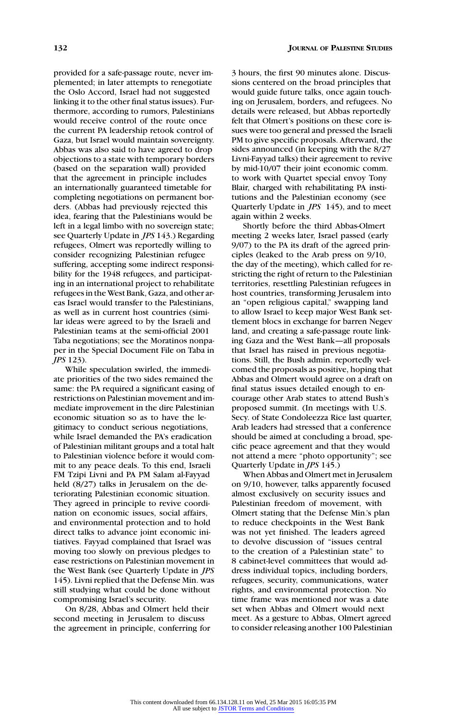provided for a safe-passage route, never implemented; in later attempts to renegotiate the Oslo Accord, Israel had not suggested linking it to the other final status issues). Furthermore, according to rumors, Palestinians would receive control of the route once the current PA leadership retook control of Gaza, but Israel would maintain sovereignty. Abbas was also said to have agreed to drop objections to a state with temporary borders (based on the separation wall) provided that the agreement in principle includes an internationally guaranteed timetable for completing negotiations on permanent borders. (Abbas had previously rejected this idea, fearing that the Palestinians would be left in a legal limbo with no sovereign state; see Quarterly Update in *JPS* 143.) Regarding refugees, Olmert was reportedly willing to consider recognizing Palestinian refugee suffering, accepting some indirect responsibility for the 1948 refugees, and participating in an international project to rehabilitate refugees in the West Bank, Gaza, and other areas Israel would transfer to the Palestinians, as well as in current host countries (similar ideas were agreed to by the Israeli and Palestinian teams at the semi-official 2001 Taba negotiations; see the Moratinos nonpaper in the Special Document File on Taba in *JPS* 123).

While speculation swirled, the immediate priorities of the two sides remained the same: the PA required a significant easing of restrictions on Palestinian movement and immediate improvement in the dire Palestinian economic situation so as to have the legitimacy to conduct serious negotiations, while Israel demanded the PA's eradication of Palestinian militant groups and a total halt to Palestinian violence before it would commit to any peace deals. To this end, Israeli FM Tzipi Livni and PA PM Salam al-Fayyad held (8/27) talks in Jerusalem on the deteriorating Palestinian economic situation. They agreed in principle to revive coordination on economic issues, social affairs, and environmental protection and to hold direct talks to advance joint economic initiatives. Fayyad complained that Israel was moving too slowly on previous pledges to ease restrictions on Palestinian movement in the West Bank (see Quarterly Update in *JPS* 145). Livni replied that the Defense Min. was still studying what could be done without compromising Israel's security.

On 8/28, Abbas and Olmert held their second meeting in Jerusalem to discuss the agreement in principle, conferring for 3 hours, the first 90 minutes alone. Discussions centered on the broad principles that would guide future talks, once again touching on Jerusalem, borders, and refugees. No details were released, but Abbas reportedly felt that Olmert's positions on these core issues were too general and pressed the Israeli PM to give specific proposals. Afterward, the sides announced (in keeping with the 8/27 Livni-Fayyad talks) their agreement to revive by mid-10/07 their joint economic comm. to work with Quartet special envoy Tony Blair, charged with rehabilitating PA institutions and the Palestinian economy (see Quarterly Update in *JPS* 145), and to meet again within 2 weeks.

Shortly before the third Abbas-Olmert meeting 2 weeks later, Israel passed (early 9/07) to the PA its draft of the agreed principles (leaked to the Arab press on 9/10, the day of the meeting), which called for restricting the right of return to the Palestinian territories, resettling Palestinian refugees in host countries, transforming Jerusalem into an "open religious capital," swapping land to allow Israel to keep major West Bank settlement blocs in exchange for barren Negev land, and creating a safe-passage route linking Gaza and the West Bank—all proposals that Israel has raised in previous negotiations. Still, the Bush admin. reportedly welcomed the proposals as positive, hoping that Abbas and Olmert would agree on a draft on final status issues detailed enough to encourage other Arab states to attend Bush's proposed summit. (In meetings with U.S. Secy. of State Condoleezza Rice last quarter, Arab leaders had stressed that a conference should be aimed at concluding a broad, specific peace agreement and that they would not attend a mere "photo opportunity"; see Quarterly Update in *JPS* 145.)

When Abbas and Olmert met in Jerusalem on 9/10, however, talks apparently focused almost exclusively on security issues and Palestinian freedom of movement, with Olmert stating that the Defense Min.'s plan to reduce checkpoints in the West Bank was not yet finished. The leaders agreed to devolve discussion of "issues central to the creation of a Palestinian state" to 8 cabinet-level committees that would address individual topics, including borders, refugees, security, communications, water rights, and environmental protection. No time frame was mentioned nor was a date set when Abbas and Olmert would next meet. As a gesture to Abbas, Olmert agreed to consider releasing another 100 Palestinian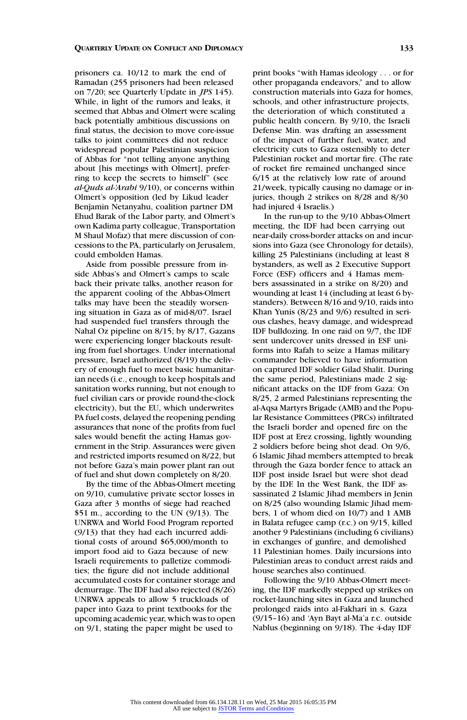prisoners ca. 10/12 to mark the end of Ramadan (255 prisoners had been released on 7/20; see Quarterly Update in *JPS* 145). While, in light of the rumors and leaks, it seemed that Abbas and Olmert were scaling back potentially ambitious discussions on final status, the decision to move core-issue talks to joint committees did not reduce widespread popular Palestinian suspicion of Abbas for "not telling anyone anything about [his meetings with Olmert], preferring to keep the secrets to himself" (see *al-Quds al-'Arabi* 9/10), or concerns within Olmert's opposition (led by Likud leader Benjamin Netanyahu, coalition partner DM Ehud Barak of the Labor party, and Olmert's own Kadima party colleague, Transportation M Shaul Mofaz) that mere discussion of concessions to the PA, particularly on Jerusalem, could embolden Hamas.

Aside from possible pressure from inside Abbas's and Olmert's camps to scale back their private talks, another reason for the apparent cooling of the Abbas-Olmert talks may have been the steadily worsening situation in Gaza as of mid-8/07. Israel had suspended fuel transfers through the Nahal Oz pipeline on 8/15; by 8/17, Gazans were experiencing longer blackouts resulting from fuel shortages. Under international pressure, Israel authorized (8/19) the delivery of enough fuel to meet basic humanitarian needs (i.e., enough to keep hospitals and sanitation works running, but not enough to fuel civilian cars or provide round-the-clock electricity), but the EU, which underwrites PA fuel costs, delayed the reopening pending assurances that none of the profits from fuel sales would benefit the acting Hamas government in the Strip. Assurances were given and restricted imports resumed on 8/22, but not before Gaza's main power plant ran out of fuel and shut down completely on 8/20.

By the time of the Abbas-Olmert meeting on 9/10, cumulative private sector losses in Gaza after 3 months of siege had reached \$51 m., according to the UN (9/13). The UNRWA and World Food Program reported (9/13) that they had each incurred additional costs of around \$65,000/month to import food aid to Gaza because of new Israeli requirements to palletize commodities; the figure did not include additional accumulated costs for container storage and demurrage. The IDF had also rejected (8/26) UNRWA appeals to allow 5 truckloads of paper into Gaza to print textbooks for the upcoming academic year, which was to open on 9/1, stating the paper might be used to

print books "with Hamas ideology . . . or for other propaganda endeavors," and to allow construction materials into Gaza for homes, schools, and other infrastructure projects, the deterioration of which constituted a public health concern. By 9/10, the Israeli Defense Min. was drafting an assessment of the impact of further fuel, water, and electricity cuts to Gaza ostensibly to deter Palestinian rocket and mortar fire. (The rate of rocket fire remained unchanged since 6/15 at the relatively low rate of around 21/week, typically causing no damage or injuries, though 2 strikes on 8/28 and 8/30 had injured 4 Israelis.)

In the run-up to the 9/10 Abbas-Olmert meeting, the IDF had been carrying out near-daily cross-border attacks on and incursions into Gaza (see Chronology for details), killing 25 Palestinians (including at least 8 bystanders, as well as 2 Executive Support Force (ESF) officers and 4 Hamas members assassinated in a strike on 8/20) and wounding at least 14 (including at least 6 bystanders). Between 8/16 and 9/10, raids into Khan Yunis (8/23 and 9/6) resulted in serious clashes, heavy damage, and widespread IDF bulldozing. In one raid on 9/7, the IDF sent undercover units dressed in ESF uniforms into Rafah to seize a Hamas military commander believed to have information on captured IDF soldier Gilad Shalit. During the same period, Palestinians made 2 significant attacks on the IDF from Gaza: On 8/25, 2 armed Palestinians representing the al-Aqsa Martyrs Brigade (AMB) and the Popular Resistance Committees (PRCs) infiltrated the Israeli border and opened fire on the IDF post at Erez crossing, lightly wounding 2 soldiers before being shot dead. On 9/6, 6 Islamic Jihad members attempted to break through the Gaza border fence to attack an IDF post inside Israel but were shot dead by the IDF. In the West Bank, the IDF assassinated 2 Islamic Jihad members in Jenin on 8/25 (also wounding Islamic Jihad members, 1 of whom died on 10/7) and 1 AMB in Balata refugee camp (r.c.) on 9/15, killed another 9 Palestinians (including 6 civilians) in exchanges of gunfire, and demolished 11 Palestinian homes. Daily incursions into Palestinian areas to conduct arrest raids and house searches also continued.

Following the 9/10 Abbas-Olmert meeting, the IDF markedly stepped up strikes on rocket-launching sites in Gaza and launched prolonged raids into al-Fakhari in s. Gaza (9/15–16) and 'Ayn Bayt al-Ma'a r.c. outside Nablus (beginning on 9/18). The 4-day IDF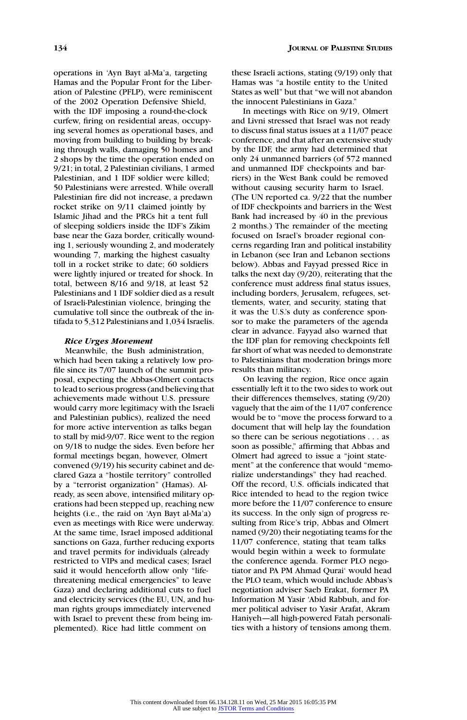operations in 'Ayn Bayt al-Ma'a, targeting Hamas and the Popular Front for the Liberation of Palestine (PFLP), were reminiscent of the 2002 Operation Defensive Shield, with the IDF imposing a round-the-clock curfew, firing on residential areas, occupying several homes as operational bases, and moving from building to building by breaking through walls, damaging 50 homes and 2 shops by the time the operation ended on 9/21; in total, 2 Palestinian civilians, 1 armed Palestinian, and 1 IDF soldier were killed; 50 Palestinians were arrested. While overall Palestinian fire did not increase, a predawn rocket strike on 9/11 claimed jointly by Islamic Jihad and the PRCs hit a tent full of sleeping soldiers inside the IDF's Zikim base near the Gaza border, critically wounding 1, seriously wounding 2, and moderately wounding 7, marking the highest casualty toll in a rocket strike to date; 60 soldiers were lightly injured or treated for shock. In total, between 8/16 and 9/18, at least 52 Palestinians and 1 IDF soldier died as a result of Israeli-Palestinian violence, bringing the cumulative toll since the outbreak of the intifada to 5,312 Palestinians and 1,034 Israelis.

## *Rice Urges Movement*

Meanwhile, the Bush administration, which had been taking a relatively low profile since its 7/07 launch of the summit proposal, expecting the Abbas-Olmert contacts to lead to serious progress (and believing that achievements made without U.S. pressure would carry more legitimacy with the Israeli and Palestinian publics), realized the need for more active intervention as talks began to stall by mid-9/07. Rice went to the region on 9/18 to nudge the sides. Even before her formal meetings began, however, Olmert convened (9/19) his security cabinet and declared Gaza a "hostile territory" controlled by a "terrorist organization" (Hamas). Already, as seen above, intensified military operations had been stepped up, reaching new heights (i.e., the raid on 'Ayn Bayt al-Ma'a) even as meetings with Rice were underway. At the same time, Israel imposed additional sanctions on Gaza, further reducing exports and travel permits for individuals (already restricted to VIPs and medical cases; Israel said it would henceforth allow only "lifethreatening medical emergencies" to leave Gaza) and declaring additional cuts to fuel and electricity services (the EU, UN, and human rights groups immediately intervened with Israel to prevent these from being implemented). Rice had little comment on

these Israeli actions, stating (9/19) only that Hamas was "a hostile entity to the United States as well" but that "we will not abandon the innocent Palestinians in Gaza."

In meetings with Rice on 9/19, Olmert and Livni stressed that Israel was not ready to discuss final status issues at a 11/07 peace conference, and that after an extensive study by the IDF, the army had determined that only 24 unmanned barriers (of 572 manned and unmanned IDF checkpoints and barriers) in the West Bank could be removed without causing security harm to Israel. (The UN reported ca. 9/22 that the number of IDF checkpoints and barriers in the West Bank had increased by 40 in the previous 2 months.) The remainder of the meeting focused on Israel's broader regional concerns regarding Iran and political instability in Lebanon (see Iran and Lebanon sections below). Abbas and Fayyad pressed Rice in talks the next day (9/20), reiterating that the conference must address final status issues, including borders, Jerusalem, refugees, settlements, water, and security, stating that it was the U.S.'s duty as conference sponsor to make the parameters of the agenda clear in advance. Fayyad also warned that the IDF plan for removing checkpoints fell far short of what was needed to demonstrate to Palestinians that moderation brings more results than militancy.

On leaving the region, Rice once again essentially left it to the two sides to work out their differences themselves, stating (9/20) vaguely that the aim of the 11/07 conference would be to "move the process forward to a document that will help lay the foundation so there can be serious negotiations . . . as soon as possible," affirming that Abbas and Olmert had agreed to issue a "joint statement" at the conference that would "memorialize understandings" they had reached. Off the record, U.S. officials indicated that Rice intended to head to the region twice more before the 11/07 conference to ensure its success. In the only sign of progress resulting from Rice's trip, Abbas and Olmert named (9/20) their negotiating teams for the 11/07 conference, stating that team talks would begin within a week to formulate the conference agenda. Former PLO negotiator and PA PM Ahmad Qurai' would head the PLO team, which would include Abbas's negotiation adviser Saeb Erakat, former PA Information M Yasir 'Abid Rabbuh, and former political adviser to Yasir Arafat, Akram Haniyeh—all high-powered Fatah personalities with a history of tensions among them.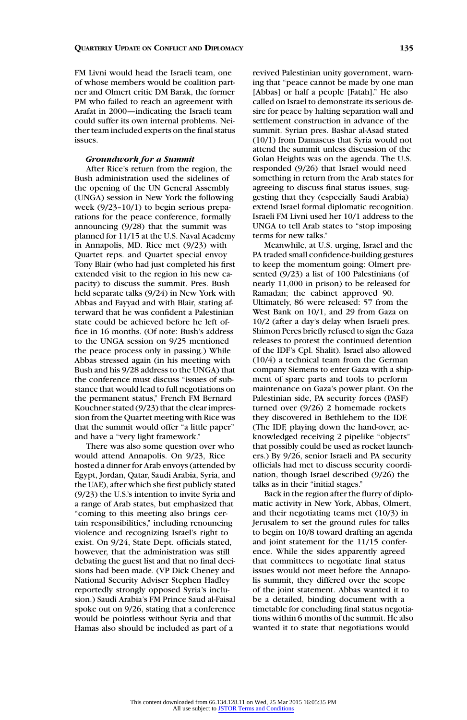FM Livni would head the Israeli team, one of whose members would be coalition partner and Olmert critic DM Barak, the former PM who failed to reach an agreement with Arafat in 2000—indicating the Israeli team could suffer its own internal problems. Neither team included experts on the final status issues.

## *Groundwork for a Summit*

After Rice's return from the region, the Bush administration used the sidelines of the opening of the UN General Assembly (UNGA) session in New York the following week (9/23–10/1) to begin serious preparations for the peace conference, formally announcing (9/28) that the summit was planned for 11/15 at the U.S. Naval Academy in Annapolis, MD. Rice met (9/23) with Quartet reps. and Quartet special envoy Tony Blair (who had just completed his first extended visit to the region in his new capacity) to discuss the summit. Pres. Bush held separate talks (9/24) in New York with Abbas and Fayyad and with Blair, stating afterward that he was confident a Palestinian state could be achieved before he left office in 16 months. (Of note: Bush's address to the UNGA session on 9/25 mentioned the peace process only in passing.) While Abbas stressed again (in his meeting with Bush and his 9/28 address to the UNGA) that the conference must discuss "issues of substance that would lead to full negotiations on the permanent status," French FM Bernard Kouchner stated (9/23) that the clear impression from the Quartet meeting with Rice was that the summit would offer "a little paper" and have a "very light framework."

There was also some question over who would attend Annapolis. On 9/23, Rice hosted a dinner for Arab envoys (attended by Egypt, Jordan, Qatar, Saudi Arabia, Syria, and the UAE), after which she first publicly stated (9/23) the U.S.'s intention to invite Syria and a range of Arab states, but emphasized that "coming to this meeting also brings certain responsibilities," including renouncing violence and recognizing Israel's right to exist. On 9/24, State Dept. officials stated, however, that the administration was still debating the guest list and that no final decisions had been made. (VP Dick Cheney and National Security Adviser Stephen Hadley reportedly strongly opposed Syria's inclusion.) Saudi Arabia's FM Prince Saud al-Faisal spoke out on 9/26, stating that a conference would be pointless without Syria and that Hamas also should be included as part of a

revived Palestinian unity government, warning that "peace cannot be made by one man [Abbas] or half a people [Fatah]." He also called on Israel to demonstrate its serious desire for peace by halting separation wall and settlement construction in advance of the summit. Syrian pres. Bashar al-Asad stated (10/1) from Damascus that Syria would not attend the summit unless discussion of the Golan Heights was on the agenda. The U.S. responded (9/26) that Israel would need something in return from the Arab states for agreeing to discuss final status issues, suggesting that they (especially Saudi Arabia) extend Israel formal diplomatic recognition. Israeli FM Livni used her 10/1 address to the UNGA to tell Arab states to "stop imposing terms for new talks."

Meanwhile, at U.S. urging, Israel and the PA traded small confidence-building gestures to keep the momentum going: Olmert presented (9/23) a list of 100 Palestinians (of nearly 11,000 in prison) to be released for Ramadan; the cabinet approved 90. Ultimately, 86 were released: 57 from the West Bank on 10/1, and 29 from Gaza on 10/2 (after a day's delay when Israeli pres. Shimon Peres briefly refused to sign the Gaza releases to protest the continued detention of the IDF's Cpl. Shalit). Israel also allowed (10/4) a technical team from the German company Siemens to enter Gaza with a shipment of spare parts and tools to perform maintenance on Gaza's power plant. On the Palestinian side, PA security forces (PASF) turned over (9/26) 2 homemade rockets they discovered in Bethlehem to the IDF. (The IDF, playing down the hand-over, acknowledged receiving 2 pipelike "objects" that possibly could be used as rocket launchers.) By 9/26, senior Israeli and PA security officials had met to discuss security coordination, though Israel described (9/26) the talks as in their "initial stages."

Back in the region after the flurry of diplomatic activity in New York, Abbas, Olmert, and their negotiating teams met (10/3) in Jerusalem to set the ground rules for talks to begin on 10/8 toward drafting an agenda and joint statement for the 11/15 conference. While the sides apparently agreed that committees to negotiate final status issues would not meet before the Annapolis summit, they differed over the scope of the joint statement. Abbas wanted it to be a detailed, binding document with a timetable for concluding final status negotiations within 6 months of the summit. He also wanted it to state that negotiations would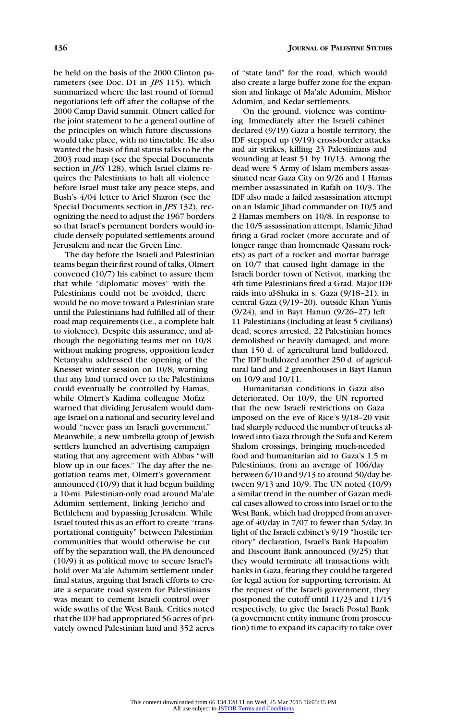be held on the basis of the 2000 Clinton parameters (see Doc. D1 in *JPS* 115), which summarized where the last round of formal negotiations left off after the collapse of the 2000 Camp David summit. Olmert called for the joint statement to be a general outline of the principles on which future discussions would take place, with no timetable. He also wanted the basis of final status talks to be the 2003 road map (see the Special Documents section in *JPS* 128), which Israel claims requires the Palestinians to halt all violence before Israel must take any peace steps, and Bush's 4/04 letter to Ariel Sharon (see the Special Documents section in *JPS* 132), recognizing the need to adjust the 1967 borders so that Israel's permanent borders would include densely populated settlements around Jerusalem and near the Green Line.

The day before the Israeli and Palestinian teams began their first round of talks, Olmert convened (10/7) his cabinet to assure them that while "diplomatic moves" with the Palestinians could not be avoided, there would be no move toward a Palestinian state until the Palestinians had fulfilled all of their road map requirements (i.e., a complete halt to violence). Despite this assurance, and although the negotiating teams met on 10/8 without making progress, opposition leader Netanyahu addressed the opening of the Knesset winter session on 10/8, warning that any land turned over to the Palestinians could eventually be controlled by Hamas, while Olmert's Kadima colleague Mofaz warned that dividing Jerusalem would damage Israel on a national and security level and would "never pass an Israeli government." Meanwhile, a new umbrella group of Jewish settlers launched an advertising campaign stating that any agreement with Abbas "will blow up in our faces." The day after the negotiation teams met, Olmert's government announced (10/9) that it had begun building a 10-mi. Palestinian-only road around Ma'ale Adumim settlement, linking Jericho and Bethlehem and bypassing Jerusalem. While Israel touted this as an effort to create "transportational contiguity" between Palestinian communities that would otherwise be cut off by the separation wall, the PA denounced (10/9) it as political move to secure Israel's hold over Ma'ale Adumim settlement under final status, arguing that Israeli efforts to create a separate road system for Palestinians was meant to cement Israeli control over wide swaths of the West Bank. Critics noted that the IDF had appropriated 56 acres of privately owned Palestinian land and 352 acres of "state land" for the road, which would also create a large buffer zone for the expansion and linkage of Ma'ale Adumim, Mishor Adumim, and Kedar settlements.

On the ground, violence was continuing. Immediately after the Israeli cabinet declared (9/19) Gaza a hostile territory, the IDF stepped up (9/19) cross-border attacks and air strikes, killing 23 Palestinians and wounding at least 51 by 10/13. Among the dead were 5 Army of Islam members assassinated near Gaza City on 9/26 and 1 Hamas member assassinated in Rafah on 10/3. The IDF also made a failed assassination attempt on an Islamic Jihad commander on 10/5 and 2 Hamas members on 10/8. In response to the 10/5 assassination attempt, Islamic Jihad firing a Grad rocket (more accurate and of longer range than homemade Qassam rockets) as part of a rocket and mortar barrage on 10/7 that caused light damage in the Israeli border town of Netivot, marking the 4th time Palestinians fired a Grad. Major IDF raids into al-Shuka in s. Gaza (9/18–21), in central Gaza (9/19–20), outside Khan Yunis (9/24), and in Bayt Hanun (9/26–27) left 11 Palestinians (including at least 5 civilians) dead, scores arrested, 22 Palestinian homes demolished or heavily damaged, and more than 150 d. of agricultural land bulldozed. The IDF bulldozed another 250 d. of agricultural land and 2 greenhouses in Bayt Hanun on 10/9 and 10/11.

Humanitarian conditions in Gaza also deteriorated. On 10/9, the UN reported that the new Israeli restrictions on Gaza imposed on the eve of Rice's 9/18–20 visit had sharply reduced the number of trucks allowed into Gaza through the Sufa and Kerem Shalom crossings, bringing much-needed food and humanitarian aid to Gaza's 1.5 m. Palestinians, from an average of 106/day between 6/10 and 9/13 to around 50/day between 9/13 and 10/9. The UN noted (10/9) a similar trend in the number of Gazan medical cases allowed to cross into Israel or to the West Bank, which had dropped from an average of 40/day in 7/07 to fewer than 5/day. In light of the Israeli cabinet's 9/19 "hostile territory" declaration, Israel's Bank Hapoalim and Discount Bank announced (9/25) that they would terminate all transactions with banks in Gaza, fearing they could be targeted for legal action for supporting terrorism. At the request of the Israeli government, they postponed the cutoff until 11/23 and 11/15 respectively, to give the Israeli Postal Bank (a government entity immune from prosecution) time to expand its capacity to take over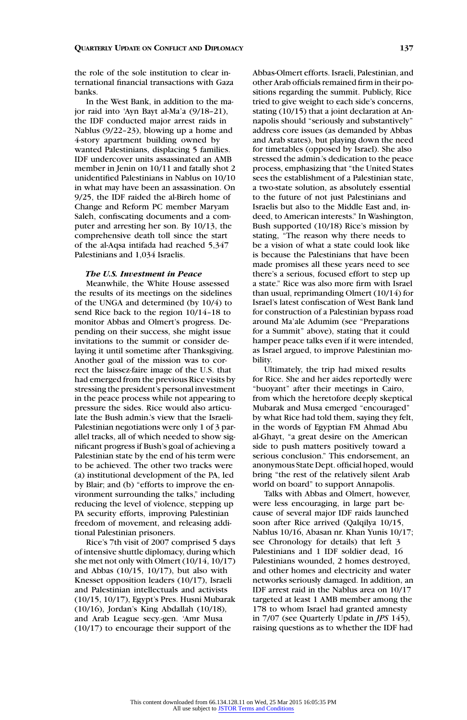the role of the sole institution to clear international financial transactions with Gaza banks.

In the West Bank, in addition to the major raid into 'Ayn Bayt al-Ma'a (9/18–21), the IDF conducted major arrest raids in Nablus (9/22–23), blowing up a home and 4-story apartment building owned by wanted Palestinians, displacing 5 families. IDF undercover units assassinated an AMB member in Jenin on 10/11 and fatally shot 2 unidentified Palestinians in Nablus on 10/10 in what may have been an assassination. On 9/25, the IDF raided the al-Bireh home of Change and Reform PC member Maryam Saleh, confiscating documents and a computer and arresting her son. By 10/13, the comprehensive death toll since the start of the al-Aqsa intifada had reached 5,347 Palestinians and 1,034 Israelis.

## *The U.S. Investment in Peace*

Meanwhile, the White House assessed the results of its meetings on the sidelines of the UNGA and determined (by 10/4) to send Rice back to the region 10/14–18 to monitor Abbas and Olmert's progress. Depending on their success, she might issue invitations to the summit or consider delaying it until sometime after Thanksgiving. Another goal of the mission was to correct the laissez-faire image of the U.S. that had emerged from the previous Rice visits by stressing the president's personal investment in the peace process while not appearing to pressure the sides. Rice would also articulate the Bush admin.'s view that the Israeli-Palestinian negotiations were only 1 of 3 parallel tracks, all of which needed to show significant progress if Bush's goal of achieving a Palestinian state by the end of his term were to be achieved. The other two tracks were (a) institutional development of the PA, led by Blair; and (b) "efforts to improve the environment surrounding the talks," including reducing the level of violence, stepping up PA security efforts, improving Palestinian freedom of movement, and releasing additional Palestinian prisoners.

Rice's 7th visit of 2007 comprised 5 days of intensive shuttle diplomacy, during which she met not only with Olmert (10/14, 10/17) and Abbas (10/15, 10/17), but also with Knesset opposition leaders (10/17), Israeli and Palestinian intellectuals and activists (10/15, 10/17), Egypt's Pres. Husni Mubarak (10/16), Jordan's King Abdallah (10/18), and Arab League secy.-gen. 'Amr Musa (10/17) to encourage their support of the

Abbas-Olmert efforts. Israeli, Palestinian, and other Arab officials remained firm in their positions regarding the summit. Publicly, Rice tried to give weight to each side's concerns, stating (10/15) that a joint declaration at Annapolis should "seriously and substantively" address core issues (as demanded by Abbas and Arab states), but playing down the need for timetables (opposed by Israel). She also stressed the admin.'s dedication to the peace process, emphasizing that "the United States sees the establishment of a Palestinian state, a two-state solution, as absolutely essential to the future of not just Palestinians and Israelis but also to the Middle East and, indeed, to American interests." In Washington, Bush supported (10/18) Rice's mission by stating, "The reason why there needs to be a vision of what a state could look like is because the Palestinians that have been made promises all these years need to see there's a serious, focused effort to step up a state." Rice was also more firm with Israel than usual, reprimanding Olmert (10/14) for Israel's latest confiscation of West Bank land for construction of a Palestinian bypass road around Ma'ale Adumim (see "Preparations for a Summit" above), stating that it could hamper peace talks even if it were intended, as Israel argued, to improve Palestinian mobility.

Ultimately, the trip had mixed results for Rice. She and her aides reportedly were "buoyant" after their meetings in Cairo, from which the heretofore deeply skeptical Mubarak and Musa emerged "encouraged" by what Rice had told them, saying they felt, in the words of Egyptian FM Ahmad Abu al-Ghayt, "a great desire on the American side to push matters positively toward a serious conclusion." This endorsement, an anonymous State Dept. official hoped, would bring "the rest of the relatively silent Arab world on board" to support Annapolis.

Talks with Abbas and Olmert, however, were less encouraging, in large part because of several major IDF raids launched soon after Rice arrived (Qalqilya 10/15, Nablus 10/16, Abasan nr. Khan Yunis 10/17; see Chronology for details) that left 3 Palestinians and 1 IDF soldier dead, 16 Palestinians wounded, 2 homes destroyed, and other homes and electricity and water networks seriously damaged. In addition, an IDF arrest raid in the Nablus area on 10/17 targeted at least 1 AMB member among the 178 to whom Israel had granted amnesty in 7/07 (see Quarterly Update in *JPS* 145), raising questions as to whether the IDF had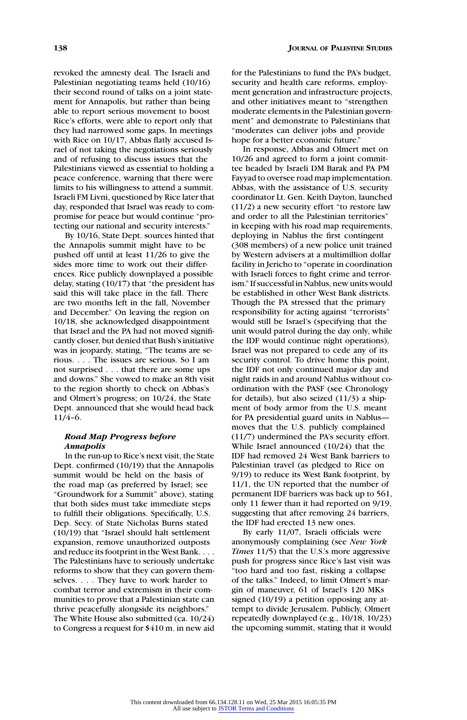revoked the amnesty deal. The Israeli and Palestinian negotiating teams held (10/16) their second round of talks on a joint statement for Annapolis, but rather than being able to report serious movement to boost Rice's efforts, were able to report only that they had narrowed some gaps. In meetings with Rice on 10/17, Abbas flatly accused Israel of not taking the negotiations seriously and of refusing to discuss issues that the Palestinians viewed as essential to holding a peace conference, warning that there were limits to his willingness to attend a summit. Israeli FM Livni, questioned by Rice later that day, responded that Israel was ready to compromise for peace but would continue "protecting our national and security interests."

By 10/16, State Dept. sources hinted that the Annapolis summit might have to be pushed off until at least 11/26 to give the sides more time to work out their differences. Rice publicly downplayed a possible delay, stating (10/17) that "the president has said this will take place in the fall. There are two months left in the fall, November and December." On leaving the region on 10/18, she acknowledged disappointment that Israel and the PA had not moved significantly closer, but denied that Bush's initiative was in jeopardy, stating, "The teams are serious. . . . The issues are serious. So I am not surprised . . . that there are some ups and downs." She vowed to make an 8th visit to the region shortly to check on Abbas's and Olmert's progress; on 10/24, the State Dept. announced that she would head back 11/4–6.

## *Road Map Progress before Annapolis*

In the run-up to Rice's next visit, the State Dept. confirmed (10/19) that the Annapolis summit would be held on the basis of the road map (as preferred by Israel; see "Groundwork for a Summit" above), stating that both sides must take immediate steps to fulfill their obligations. Specifically, U.S. Dep. Secy. of State Nicholas Burns stated (10/19) that "Israel should halt settlement expansion, remove unauthorized outposts and reduce its footprint in the West Bank. . . . The Palestinians have to seriously undertake reforms to show that they can govern themselves. . . . They have to work harder to combat terror and extremism in their communities to prove that a Palestinian state can thrive peacefully alongside its neighbors." The White House also submitted (ca. 10/24) to Congress a request for \$410 m. in new aid for the Palestinians to fund the PA's budget, security and health care reforms, employment generation and infrastructure projects, and other initiatives meant to "strengthen moderate elements in the Palestinian government" and demonstrate to Palestinians that "moderates can deliver jobs and provide hope for a better economic future."

In response, Abbas and Olmert met on 10/26 and agreed to form a joint committee headed by Israeli DM Barak and PA PM Fayyad to oversee road map implementation. Abbas, with the assistance of U.S. security coordinator Lt. Gen. Keith Dayton, launched (11/2) a new security effort "to restore law and order to all the Palestinian territories" in keeping with his road map requirements, deploying in Nablus the first contingent (308 members) of a new police unit trained by Western advisers at a multimillion dollar facility in Jericho to "operate in coordination with Israeli forces to fight crime and terrorism." If successful in Nablus, new units would be established in other West Bank districts. Though the PA stressed that the primary responsibility for acting against "terrorists" would still be Israel's (specifying that the unit would patrol during the day only, while the IDF would continue night operations), Israel was not prepared to cede any of its security control. To drive home this point, the IDF not only continued major day and night raids in and around Nablus without coordination with the PASF (see Chronology for details), but also seized (11/3) a shipment of body armor from the U.S. meant for PA presidential guard units in Nablus moves that the U.S. publicly complained (11/7) undermined the PA's security effort. While Israel announced (10/24) that the IDF had removed 24 West Bank barriers to Palestinian travel (as pledged to Rice on 9/19) to reduce its West Bank footprint, by 11/1, the UN reported that the number of permanent IDF barriers was back up to 561, only 11 fewer than it had reported on 9/19, suggesting that after removing 24 barriers, the IDF had erected 13 new ones.

By early 11/07, Israeli officials were anonymously complaining (see *New York Times* 11/5) that the U.S.'s more aggressive push for progress since Rice's last visit was "too hard and too fast, risking a collapse of the talks." Indeed, to limit Olmert's margin of maneuver, 61 of Israel's 120 MKs signed (10/19) a petition opposing any attempt to divide Jerusalem. Publicly, Olmert repeatedly downplayed (e.g., 10/18, 10/23) the upcoming summit, stating that it would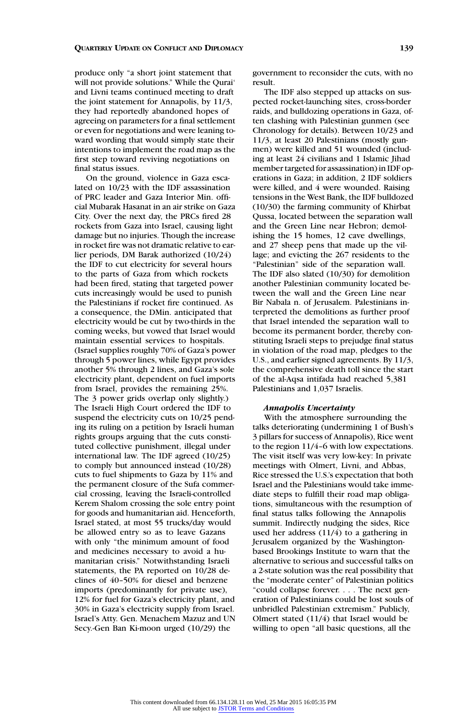#### **QUARTERLY UPDATE ON CONFLICT AND DIPLOMACY 139**

produce only "a short joint statement that will not provide solutions." While the Qurai' and Livni teams continued meeting to draft the joint statement for Annapolis, by 11/3, they had reportedly abandoned hopes of agreeing on parameters for a final settlement or even for negotiations and were leaning toward wording that would simply state their intentions to implement the road map as the first step toward reviving negotiations on final status issues.

On the ground, violence in Gaza escalated on 10/23 with the IDF assassination of PRC leader and Gaza Interior Min. official Mubarak Hasanat in an air strike on Gaza City. Over the next day, the PRCs fired 28 rockets from Gaza into Israel, causing light damage but no injuries. Though the increase in rocket fire was not dramatic relative to earlier periods, DM Barak authorized (10/24) the IDF to cut electricity for several hours to the parts of Gaza from which rockets had been fired, stating that targeted power cuts increasingly would be used to punish the Palestinians if rocket fire continued. As a consequence, the DMin. anticipated that electricity would be cut by two-thirds in the coming weeks, but vowed that Israel would maintain essential services to hospitals. (Israel supplies roughly 70% of Gaza's power through 5 power lines, while Egypt provides another 5% through 2 lines, and Gaza's sole electricity plant, dependent on fuel imports from Israel, provides the remaining 25%. The 3 power grids overlap only slightly.) The Israeli High Court ordered the IDF to suspend the electricity cuts on 10/25 pending its ruling on a petition by Israeli human rights groups arguing that the cuts constituted collective punishment, illegal under international law. The IDF agreed (10/25) to comply but announced instead (10/28) cuts to fuel shipments to Gaza by 11% and the permanent closure of the Sufa commercial crossing, leaving the Israeli-controlled Kerem Shalom crossing the sole entry point for goods and humanitarian aid. Henceforth, Israel stated, at most 55 trucks/day would be allowed entry so as to leave Gazans with only "the minimum amount of food and medicines necessary to avoid a humanitarian crisis." Notwithstanding Israeli statements, the PA reported on 10/28 declines of 40–50% for diesel and benzene imports (predominantly for private use), 12% for fuel for Gaza's electricity plant, and 30% in Gaza's electricity supply from Israel. Israel's Atty. Gen. Menachem Mazuz and UN Secy.-Gen Ban Ki-moon urged (10/29) the

government to reconsider the cuts, with no result.

The IDF also stepped up attacks on suspected rocket-launching sites, cross-border raids, and bulldozing operations in Gaza, often clashing with Palestinian gunmen (see Chronology for details). Between 10/23 and 11/3, at least 20 Palestinians (mostly gunmen) were killed and 51 wounded (including at least 24 civilians and 1 Islamic Jihad member targeted for assassination) in IDF operations in Gaza; in addition, 2 IDF soldiers were killed, and 4 were wounded. Raising tensions in the West Bank, the IDF bulldozed (10/30) the farming community of Khirbat Qussa, located between the separation wall and the Green Line near Hebron; demolishing the 15 homes, 12 cave dwellings, and 27 sheep pens that made up the village; and evicting the 267 residents to the "Palestinian" side of the separation wall. The IDF also slated (10/30) for demolition another Palestinian community located between the wall and the Green Line near Bir Nabala n. of Jerusalem. Palestinians interpreted the demolitions as further proof that Israel intended the separation wall to become its permanent border, thereby constituting Israeli steps to prejudge final status in violation of the road map, pledges to the U.S., and earlier signed agreements. By 11/3, the comprehensive death toll since the start of the al-Aqsa intifada had reached 5,381 Palestinians and 1,037 Israelis.

## *Annapolis Uncertainty*

With the atmosphere surrounding the talks deteriorating (undermining 1 of Bush's 3 pillars for success of Annapolis), Rice went to the region 11/4–6 with low expectations. The visit itself was very low-key: In private meetings with Olmert, Livni, and Abbas, Rice stressed the U.S.'s expectation that both Israel and the Palestinians would take immediate steps to fulfill their road map obligations, simultaneous with the resumption of final status talks following the Annapolis summit. Indirectly nudging the sides, Rice used her address (11/4) to a gathering in Jerusalem organized by the Washingtonbased Brookings Institute to warn that the alternative to serious and successful talks on a 2-state solution was the real possibility that the "moderate center" of Palestinian politics "could collapse forever. . . . The next generation of Palestinians could be lost souls of unbridled Palestinian extremism." Publicly, Olmert stated (11/4) that Israel would be willing to open "all basic questions, all the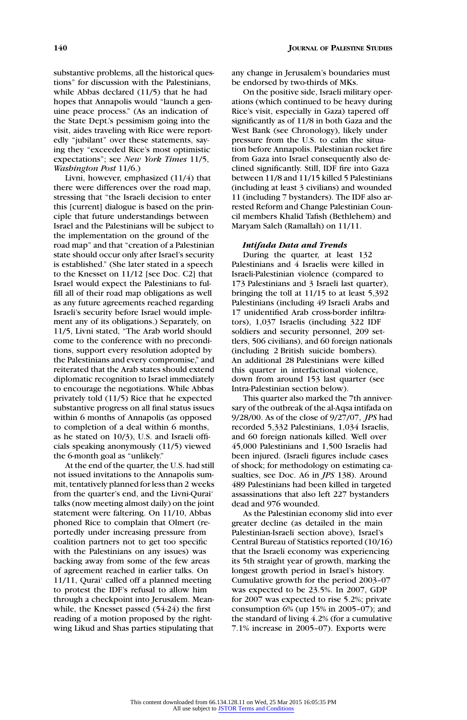substantive problems, all the historical questions" for discussion with the Palestinians, while Abbas declared (11/5) that he had hopes that Annapolis would "launch a genuine peace process." (As an indication of the State Dept.'s pessimism going into the visit, aides traveling with Rice were reportedly "jubilant" over these statements, saying they "exceeded Rice's most optimistic expectations"; see *New York Times* 11/5, *Washington Post* 11/6.)

Livni, however, emphasized (11/4) that there were differences over the road map, stressing that "the Israeli decision to enter this [current] dialogue is based on the principle that future understandings between Israel and the Palestinians will be subject to the implementation on the ground of the road map" and that "creation of a Palestinian state should occur only after Israel's security is established." (She later stated in a speech to the Knesset on 11/12 [see Doc. C2] that Israel would expect the Palestinians to fulfill all of their road map obligations as well as any future agreements reached regarding Israeli's security before Israel would implement any of its obligations.) Separately, on 11/5, Livni stated, "The Arab world should come to the conference with no preconditions, support every resolution adopted by the Palestinians and every compromise," and reiterated that the Arab states should extend diplomatic recognition to Israel immediately to encourage the negotiations. While Abbas privately told (11/5) Rice that he expected substantive progress on all final status issues within 6 months of Annapolis (as opposed to completion of a deal within 6 months, as he stated on 10/3), U.S. and Israeli officials speaking anonymously (11/5) viewed the 6-month goal as "unlikely."

At the end of the quarter, the U.S. had still not issued invitations to the Annapolis summit, tentatively planned for less than 2 weeks from the quarter's end, and the Livni-Qurai' talks (now meeting almost daily) on the joint statement were faltering. On 11/10, Abbas phoned Rice to complain that Olmert (reportedly under increasing pressure from coalition partners not to get too specific with the Palestinians on any issues) was backing away from some of the few areas of agreement reached in earlier talks. On 11/11, Qurai' called off a planned meeting to protest the IDF's refusal to allow him through a checkpoint into Jerusalem. Meanwhile, the Knesset passed (54-24) the first reading of a motion proposed by the rightwing Likud and Shas parties stipulating that

any change in Jerusalem's boundaries must be endorsed by two-thirds of MKs.

On the positive side, Israeli military operations (which continued to be heavy during Rice's visit, especially in Gaza) tapered off significantly as of 11/8 in both Gaza and the West Bank (see Chronology), likely under pressure from the U.S. to calm the situation before Annapolis. Palestinian rocket fire from Gaza into Israel consequently also declined significantly. Still, IDF fire into Gaza between 11/8 and 11/15 killed 5 Palestinians (including at least 3 civilians) and wounded 11 (including 7 bystanders). The IDF also arrested Reform and Change Palestinian Council members Khalid Tafish (Bethlehem) and Maryam Saleh (Ramallah) on 11/11.

#### *Intifada Data and Trends*

During the quarter, at least 132 Palestinians and 4 Israelis were killed in Israeli-Palestinian violence (compared to 173 Palestinians and 3 Israeli last quarter), bringing the toll at 11/15 to at least 5,392 Palestinians (including 49 Israeli Arabs and 17 unidentified Arab cross-border infiltrators), 1,037 Israelis (including 322 IDF soldiers and security personnel, 209 settlers, 506 civilians), and 60 foreign nationals (including 2 British suicide bombers). An additional 28 Palestinians were killed this quarter in interfactional violence, down from around 153 last quarter (see Intra-Palestinian section below).

This quarter also marked the 7th anniversary of the outbreak of the al-Aqsa intifada on 9/28/00. As of the close of 9/27/07, *JPS* had recorded 5,332 Palestinians, 1,034 Israelis, and 60 foreign nationals killed. Well over 45,000 Palestinians and 1,500 Israelis had been injured. (Israeli figures include cases of shock; for methodology on estimating casualties, see Doc. A6 in *JPS* 138). Around 489 Palestinians had been killed in targeted assassinations that also left 227 bystanders dead and 976 wounded.

As the Palestinian economy slid into ever greater decline (as detailed in the main Palestinian-Israeli section above), Israel's Central Bureau of Statistics reported (10/16) that the Israeli economy was experiencing its 5th straight year of growth, marking the longest growth period in Israel's history. Cumulative growth for the period 2003–07 was expected to be 23.5%. In 2007, GDP for 2007 was expected to rise 5.2%; private consumption 6% (up 15% in 2005–07); and the standard of living 4.2% (for a cumulative 7.1% increase in 2005–07). Exports were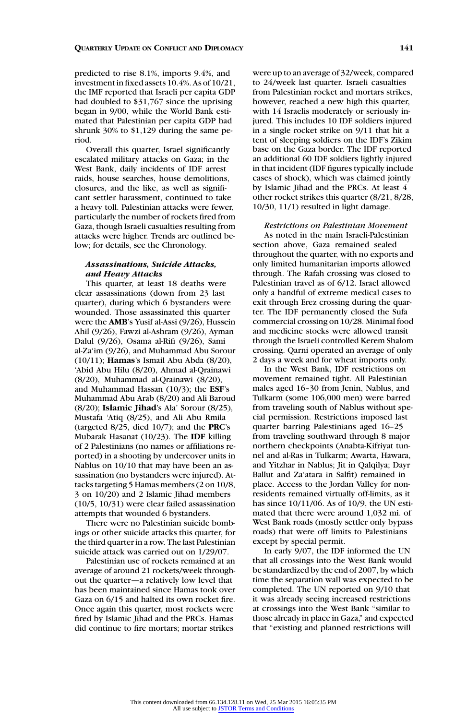predicted to rise 8.1%, imports 9.4%, and investment in fixed assets 10.4%. As of 10/21, the IMF reported that Israeli per capita GDP had doubled to \$31,767 since the uprising began in 9/00, while the World Bank estimated that Palestinian per capita GDP had shrunk 30% to \$1,129 during the same period.

Overall this quarter, Israel significantly escalated military attacks on Gaza; in the West Bank, daily incidents of IDF arrest raids, house searches, house demolitions, closures, and the like, as well as significant settler harassment, continued to take a heavy toll. Palestinian attacks were fewer, particularly the number of rockets fired from Gaza, though Israeli casualties resulting from attacks were higher. Trends are outlined below; for details, see the Chronology.

## *Assassinations, Suicide Attacks, and Heavy Attacks*

This quarter, at least 18 deaths were clear assassinations (down from 23 last quarter), during which 6 bystanders were wounded. Those assassinated this quarter were the **AMB**'s Yusif al-Assi (9/26), Hussein Ahil (9/26), Fawzi al-Ashram (9/26), Ayman Dalul (9/26), Osama al-Rifi (9/26), Sami al-Za'im (9/26), and Muhammad Abu Sorour (10/11); **Hamas**'s Ismail Abu Abda (8/20), 'Abid Abu Hilu (8/20), Ahmad al-Qrainawi (8/20), Muhammad al-Qrainawi (8/20), and Muhammad Hassan (10/3); the **ESF**'s Muhammad Abu Arab (8/20) and Ali Baroud (8/20); **Islamic Jihad**'s Ala' Sorour (8/25), Mustafa 'Atiq (8/25), and Ali Abu Rmila (targeted 8/25, died 10/7); and the **PRC**'s Mubarak Hasanat (10/23). The **IDF** killing of 2 Palestinians (no names or affiliations reported) in a shooting by undercover units in Nablus on 10/10 that may have been an assassination (no bystanders were injured). Attacks targeting 5 Hamas members (2 on 10/8, 3 on 10/20) and 2 Islamic Jihad members (10/5, 10/31) were clear failed assassination attempts that wounded 6 bystanders.

There were no Palestinian suicide bombings or other suicide attacks this quarter, for the third quarter in a row. The last Palestinian suicide attack was carried out on 1/29/07.

Palestinian use of rockets remained at an average of around 21 rockets/week throughout the quarter—a relatively low level that has been maintained since Hamas took over Gaza on 6/15 and halted its own rocket fire. Once again this quarter, most rockets were fired by Islamic Jihad and the PRCs. Hamas did continue to fire mortars; mortar strikes

were up to an average of 32/week, compared to 24/week last quarter. Israeli casualties from Palestinian rocket and mortars strikes, however, reached a new high this quarter, with 14 Israelis moderately or seriously injured. This includes 10 IDF soldiers injured in a single rocket strike on 9/11 that hit a tent of sleeping soldiers on the IDF's Zikim base on the Gaza border. The IDF reported an additional 60 IDF soldiers lightly injured in that incident (IDF figures typically include cases of shock), which was claimed jointly by Islamic Jihad and the PRCs. At least 4 other rocket strikes this quarter (8/21, 8/28, 10/30, 11/1) resulted in light damage.

*Restrictions on Palestinian Movement* As noted in the main Israeli-Palestinian section above, Gaza remained sealed throughout the quarter, with no exports and only limited humanitarian imports allowed through. The Rafah crossing was closed to Palestinian travel as of 6/12. Israel allowed only a handful of extreme medical cases to exit through Erez crossing during the quarter. The IDF permanently closed the Sufa commercial crossing on 10/28. Minimal food and medicine stocks were allowed transit through the Israeli controlled Kerem Shalom crossing. Qarni operated an average of only 2 days a week and for wheat imports only.

In the West Bank, IDF restrictions on movement remained tight. All Palestinian males aged 16–30 from Jenin, Nablus, and Tulkarm (some 106,000 men) were barred from traveling south of Nablus without special permission. Restrictions imposed last quarter barring Palestinians aged 16–25 from traveling southward through 8 major northern checkpoints (Anabta-Kifriyat tunnel and al-Ras in Tulkarm; Awarta, Hawara, and Yitzhar in Nablus; Jit in Qalqilya; Dayr Ballut and Za'atara in Salfit) remained in place. Access to the Jordan Valley for nonresidents remained virtually off-limits, as it has since 10/11/06. As of 10/9, the UN estimated that there were around 1,032 mi. of West Bank roads (mostly settler only bypass roads) that were off limits to Palestinians except by special permit.

In early 9/07, the IDF informed the UN that all crossings into the West Bank would be standardized by the end of 2007, by which time the separation wall was expected to be completed. The UN reported on 9/10 that it was already seeing increased restrictions at crossings into the West Bank "similar to those already in place in Gaza," and expected that "existing and planned restrictions will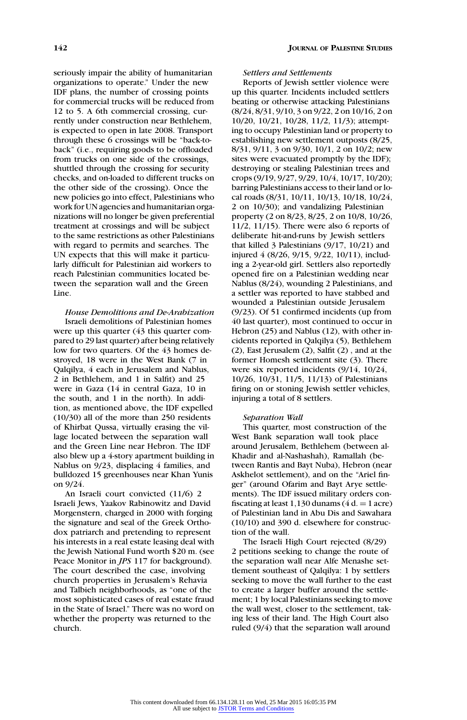seriously impair the ability of humanitarian organizations to operate." Under the new IDF plans, the number of crossing points for commercial trucks will be reduced from 12 to 5. A 6th commercial crossing, currently under construction near Bethlehem, is expected to open in late 2008. Transport through these 6 crossings will be "back-toback" (i.e., requiring goods to be offloaded from trucks on one side of the crossings, shuttled through the crossing for security checks, and on-loaded to different trucks on the other side of the crossing). Once the new policies go into effect, Palestinians who work for UN agencies and humanitarian organizations will no longer be given preferential treatment at crossings and will be subject to the same restrictions as other Palestinians with regard to permits and searches. The UN expects that this will make it particularly difficult for Palestinian aid workers to reach Palestinian communities located between the separation wall and the Green Line.

*House Demolitions and De-Arabization* Israeli demolitions of Palestinian homes were up this quarter (43 this quarter compared to 29 last quarter) after being relatively low for two quarters. Of the 43 homes destroyed, 18 were in the West Bank (7 in Qalqilya, 4 each in Jerusalem and Nablus, 2 in Bethlehem, and 1 in Salfit) and 25 were in Gaza (14 in central Gaza, 10 in the south, and 1 in the north). In addition, as mentioned above, the IDF expelled (10/30) all of the more than 250 residents of Khirbat Qussa, virtually erasing the village located between the separation wall and the Green Line near Hebron. The IDF also blew up a 4-story apartment building in Nablus on 9/23, displacing 4 families, and bulldozed 15 greenhouses near Khan Yunis on 9/24.

An Israeli court convicted (11/6) 2 Israeli Jews, Yaakov Rabinowitz and David Morgenstern, charged in 2000 with forging the signature and seal of the Greek Orthodox patriarch and pretending to represent his interests in a real estate leasing deal with the Jewish National Fund worth \$20 m. (see Peace Monitor in *JPS* 117 for background). The court described the case, involving church properties in Jerusalem's Rehavia and Talbieh neighborhoods, as "one of the most sophisticated cases of real estate fraud in the State of Israel." There was no word on whether the property was returned to the church.

## *Settlers and Settlements*

Reports of Jewish settler violence were up this quarter. Incidents included settlers beating or otherwise attacking Palestinians (8/24, 8/31, 9/10, 3 on 9/22, 2 on 10/16, 2 on 10/20, 10/21, 10/28, 11/2, 11/3); attempting to occupy Palestinian land or property to establishing new settlement outposts (8/25, 8/31, 9/11, 3 on 9/30, 10/1, 2 on 10/2; new sites were evacuated promptly by the IDF); destroying or stealing Palestinian trees and crops (9/19, 9/27, 9/29, 10/4, 10/17, 10/20); barring Palestinians access to their land or local roads (8/31, 10/11, 10/13, 10/18, 10/24, 2 on 10/30); and vandalizing Palestinian property (2 on 8/23, 8/25, 2 on 10/8, 10/26, 11/2, 11/15). There were also 6 reports of deliberate hit-and-runs by Jewish settlers that killed 3 Palestinians (9/17, 10/21) and injured 4 (8/26, 9/15, 9/22, 10/11), including a 2-year-old girl. Settlers also reportedly opened fire on a Palestinian wedding near Nablus (8/24), wounding 2 Palestinians, and a settler was reported to have stabbed and wounded a Palestinian outside Jerusalem (9/23). Of 51 confirmed incidents (up from 40 last quarter), most continued to occur in Hebron (25) and Nablus (12), with other incidents reported in Qalqilya (5), Bethlehem (2), East Jerusalem (2), Salfit (2) , and at the former Homesh settlement site (3). There were six reported incidents (9/14, 10/24, 10/26, 10/31, 11/5, 11/13) of Palestinians firing on or stoning Jewish settler vehicles. injuring a total of 8 settlers.

#### *Separation Wall*

This quarter, most construction of the West Bank separation wall took place around Jerusalem, Bethlehem (between al-Khadir and al-Nashashah), Ramallah (between Rantis and Bayt Nuba), Hebron (near Askhelot settlement), and on the "Ariel finger" (around Ofarim and Bayt Arye settlements). The IDF issued military orders confiscating at least  $1,130$  dunams  $(4 d. = 1 acc)$ of Palestinian land in Abu Dis and Sawahara (10/10) and 390 d. elsewhere for construction of the wall.

The Israeli High Court rejected (8/29) 2 petitions seeking to change the route of the separation wall near Alfe Menashe settlement southeast of Qalqilya: 1 by settlers seeking to move the wall further to the east to create a larger buffer around the settlement; 1 by local Palestinians seeking to move the wall west, closer to the settlement, taking less of their land. The High Court also ruled (9/4) that the separation wall around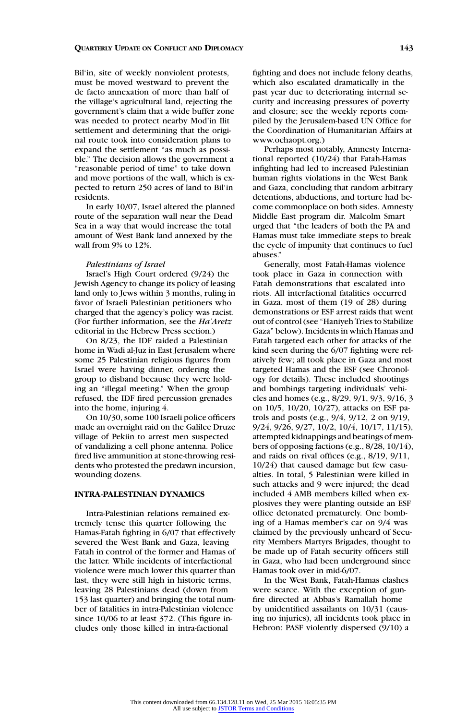Bil'in, site of weekly nonviolent protests, must be moved westward to prevent the de facto annexation of more than half of the village's agricultural land, rejecting the government's claim that a wide buffer zone was needed to protect nearby Mod'in Ilit settlement and determining that the original route took into consideration plans to expand the settlement "as much as possible." The decision allows the government a "reasonable period of time" to take down and move portions of the wall, which is expected to return 250 acres of land to Bil'in residents.

In early 10/07, Israel altered the planned route of the separation wall near the Dead Sea in a way that would increase the total amount of West Bank land annexed by the wall from 9% to 12%.

#### *Palestinians of Israel*

Israel's High Court ordered (9/24) the Jewish Agency to change its policy of leasing land only to Jews within 3 months, ruling in favor of Israeli Palestinian petitioners who charged that the agency's policy was racist. (For further information, see the *Ha'Aretz* editorial in the Hebrew Press section.)

On 8/23, the IDF raided a Palestinian home in Wadi al-Juz in East Jerusalem where some 25 Palestinian religious figures from Israel were having dinner, ordering the group to disband because they were holding an "illegal meeting." When the group refused, the IDF fired percussion grenades into the home, injuring 4.

On 10/30, some 100 Israeli police officers made an overnight raid on the Galilee Druze village of Pekiin to arrest men suspected of vandalizing a cell phone antenna. Police fired live ammunition at stone-throwing residents who protested the predawn incursion, wounding dozens.

## **INTRA-PALESTINIAN DYNAMICS**

Intra-Palestinian relations remained extremely tense this quarter following the Hamas-Fatah fighting in 6/07 that effectively severed the West Bank and Gaza, leaving Fatah in control of the former and Hamas of the latter. While incidents of interfactional violence were much lower this quarter than last, they were still high in historic terms, leaving 28 Palestinians dead (down from 153 last quarter) and bringing the total number of fatalities in intra-Palestinian violence since 10/06 to at least 372. (This figure includes only those killed in intra-factional

fighting and does not include felony deaths, which also escalated dramatically in the past year due to deteriorating internal security and increasing pressures of poverty and closure; see the weekly reports compiled by the Jerusalem-based UN Office for the Coordination of Humanitarian Affairs at www.ochaopt.org.)

Perhaps most notably, Amnesty International reported (10/24) that Fatah-Hamas infighting had led to increased Palestinian human rights violations in the West Bank and Gaza, concluding that random arbitrary detentions, abductions, and torture had become commonplace on both sides. Amnesty Middle East program dir. Malcolm Smart urged that "the leaders of both the PA and Hamas must take immediate steps to break the cycle of impunity that continues to fuel abuses."

Generally, most Fatah-Hamas violence took place in Gaza in connection with Fatah demonstrations that escalated into riots. All interfactional fatalities occurred in Gaza, most of them (19 of 28) during demonstrations or ESF arrest raids that went out of control (see "Haniyeh Tries to Stabilize Gaza" below). Incidents in which Hamas and Fatah targeted each other for attacks of the kind seen during the 6/07 fighting were relatively few; all took place in Gaza and most targeted Hamas and the ESF (see Chronology for details). These included shootings and bombings targeting individuals' vehicles and homes (e.g., 8/29, 9/1, 9/3, 9/16, 3 on 10/5, 10/20, 10/27), attacks on ESF patrols and posts (e.g., 9/4, 9/12, 2 on 9/19, 9/24, 9/26, 9/27, 10/2, 10/4, 10/17, 11/15), attempted kidnappings and beatings of members of opposing factions (e.g., 8/28, 10/14), and raids on rival offices (e.g., 8/19, 9/11, 10/24) that caused damage but few casualties. In total, 5 Palestinian were killed in such attacks and 9 were injured; the dead included 4 AMB members killed when explosives they were planting outside an ESF office detonated prematurely. One bombing of a Hamas member's car on 9/4 was claimed by the previously unheard of Security Members Martyrs Brigades, thought to be made up of Fatah security officers still in Gaza, who had been underground since Hamas took over in mid-6/07.

In the West Bank, Fatah-Hamas clashes were scarce. With the exception of gunfire directed at Abbas's Ramallah home by unidentified assailants on 10/31 (causing no injuries), all incidents took place in Hebron: PASF violently dispersed (9/10) a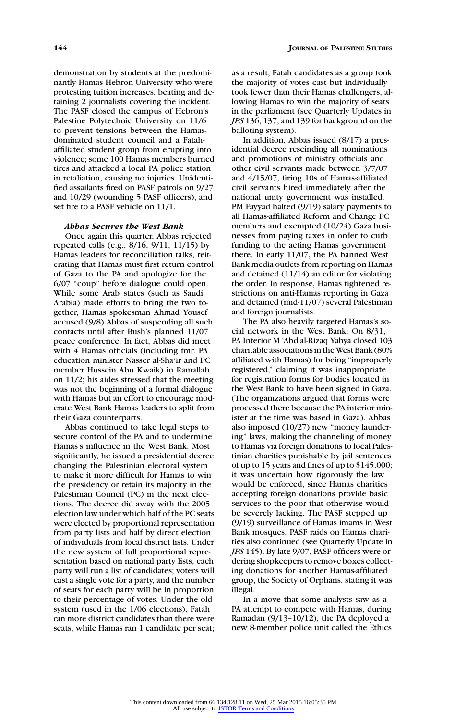demonstration by students at the predominantly Hamas Hebron University who were protesting tuition increases, beating and detaining 2 journalists covering the incident. The PASF closed the campus of Hebron's Palestine Polytechnic University on 11/6 to prevent tensions between the Hamasdominated student council and a Fatahaffiliated student group from erupting into violence; some 100 Hamas members burned tires and attacked a local PA police station in retaliation, causing no injuries. Unidentified assailants fired on PASF patrols on 9/27 and 10/29 (wounding 5 PASF officers), and set fire to a PASF vehicle on 11/1.

### *Abbas Secures the West Bank*

Once again this quarter, Abbas rejected repeated calls (e.g., 8/16, 9/11, 11/15) by Hamas leaders for reconciliation talks, reiterating that Hamas must first return control of Gaza to the PA and apologize for the 6/07 "coup" before dialogue could open. While some Arab states (such as Saudi Arabia) made efforts to bring the two together, Hamas spokesman Ahmad Yousef accused (9/8) Abbas of suspending all such contacts until after Bush's planned 11/07 peace conference. In fact, Abbas did meet with 4 Hamas officials (including fmr. PA education minister Nasser al-Sha'ir and PC member Hussein Abu Kwaik) in Ramallah on 11/2; his aides stressed that the meeting was not the beginning of a formal dialogue with Hamas but an effort to encourage moderate West Bank Hamas leaders to split from their Gaza counterparts.

Abbas continued to take legal steps to secure control of the PA and to undermine Hamas's influence in the West Bank. Most significantly, he issued a presidential decree changing the Palestinian electoral system to make it more difficult for Hamas to win the presidency or retain its majority in the Palestinian Council (PC) in the next elections. The decree did away with the 2005 election law under which half of the PC seats were elected by proportional representation from party lists and half by direct election of individuals from local district lists. Under the new system of full proportional representation based on national party lists, each party will run a list of candidates; voters will cast a single vote for a party, and the number of seats for each party will be in proportion to their percentage of votes. Under the old system (used in the 1/06 elections), Fatah ran more district candidates than there were seats, while Hamas ran 1 candidate per seat;

as a result, Fatah candidates as a group took the majority of votes cast but individually took fewer than their Hamas challengers, allowing Hamas to win the majority of seats in the parliament (see Quarterly Updates in *JPS* 136, 137, and 139 for background on the balloting system).

In addition, Abbas issued (8/17) a presidential decree rescinding all nominations and promotions of ministry officials and other civil servants made between 3/7/07 and 4/15/07, firing 10s of Hamas-affiliated civil servants hired immediately after the national unity government was installed. PM Fayyad halted (9/19) salary payments to all Hamas-affiliated Reform and Change PC members and exempted (10/24) Gaza businesses from paying taxes in order to curb funding to the acting Hamas government there. In early 11/07, the PA banned West Bank media outlets from reporting on Hamas and detained (11/14) an editor for violating the order. In response, Hamas tightened restrictions on anti-Hamas reporting in Gaza and detained (mid-11/07) several Palestinian and foreign journalists.

The PA also heavily targeted Hamas's social network in the West Bank: On 8/31, PA Interior M 'Abd al-Rizaq Yahya closed 103 charitable associations in the West Bank (80% affiliated with Hamas) for being "improperly registered," claiming it was inappropriate for registration forms for bodies located in the West Bank to have been signed in Gaza. (The organizations argued that forms were processed there because the PA interior minister at the time was based in Gaza). Abbas also imposed (10/27) new "money laundering" laws, making the channeling of money to Hamas via foreign donations to local Palestinian charities punishable by jail sentences of up to 15 years and fines of up to \$145,000; it was uncertain how rigorously the law would be enforced, since Hamas charities accepting foreign donations provide basic services to the poor that otherwise would be severely lacking. The PASF stepped up (9/19) surveillance of Hamas imams in West Bank mosques. PASF raids on Hamas charities also continued (see Quarterly Update in *JPS* 145). By late 9/07, PASF officers were ordering shopkeepers to remove boxes collecting donations for another Hamas-affiliated group, the Society of Orphans, stating it was illegal.

In a move that some analysts saw as a PA attempt to compete with Hamas, during Ramadan (9/13–10/12), the PA deployed a new 8-member police unit called the Ethics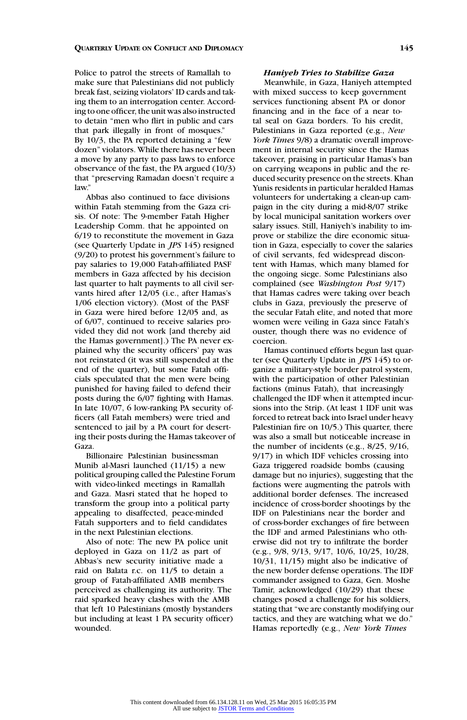Police to patrol the streets of Ramallah to make sure that Palestinians did not publicly break fast, seizing violators' ID cards and taking them to an interrogation center. According to one officer, the unit was also instructed to detain "men who flirt in public and cars that park illegally in front of mosques." By 10/3, the PA reported detaining a "few dozen" violators. While there has never been a move by any party to pass laws to enforce observance of the fast, the PA argued (10/3) that "preserving Ramadan doesn't require a law."

Abbas also continued to face divisions within Fatah stemming from the Gaza crisis. Of note: The 9-member Fatah Higher Leadership Comm. that he appointed on 6/19 to reconstitute the movement in Gaza (see Quarterly Update in *JPS* 145) resigned (9/20) to protest his government's failure to pay salaries to 19,000 Fatah-affiliated PASF members in Gaza affected by his decision last quarter to halt payments to all civil servants hired after 12/05 (i.e., after Hamas's 1/06 election victory). (Most of the PASF in Gaza were hired before 12/05 and, as of 6/07, continued to receive salaries provided they did not work [and thereby aid the Hamas government].) The PA never explained why the security officers' pay was not reinstated (it was still suspended at the end of the quarter), but some Fatah officials speculated that the men were being punished for having failed to defend their posts during the 6/07 fighting with Hamas. In late 10/07, 6 low-ranking PA security officers (all Fatah members) were tried and sentenced to jail by a PA court for deserting their posts during the Hamas takeover of Gaza.

Billionaire Palestinian businessman Munib al-Masri launched (11/15) a new political grouping called the Palestine Forum with video-linked meetings in Ramallah and Gaza. Masri stated that he hoped to transform the group into a political party appealing to disaffected, peace-minded Fatah supporters and to field candidates in the next Palestinian elections.

Also of note: The new PA police unit deployed in Gaza on 11/2 as part of Abbas's new security initiative made a raid on Balata r.c. on 11/5 to detain a group of Fatah-affiliated AMB members perceived as challenging its authority. The raid sparked heavy clashes with the AMB that left 10 Palestinians (mostly bystanders but including at least 1 PA security officer) wounded.

#### *Haniyeh Tries to Stabilize Gaza*

Meanwhile, in Gaza, Haniyeh attempted with mixed success to keep government services functioning absent PA or donor financing and in the face of a near total seal on Gaza borders. To his credit, Palestinians in Gaza reported (e.g., *New York Times* 9/8) a dramatic overall improvement in internal security since the Hamas takeover, praising in particular Hamas's ban on carrying weapons in public and the reduced security presence on the streets. Khan Yunis residents in particular heralded Hamas volunteers for undertaking a clean-up campaign in the city during a mid-8/07 strike by local municipal sanitation workers over salary issues. Still, Haniyeh's inability to improve or stabilize the dire economic situation in Gaza, especially to cover the salaries of civil servants, fed widespread discontent with Hamas, which many blamed for the ongoing siege. Some Palestinians also complained (see *Washington Post* 9/17) that Hamas cadres were taking over beach clubs in Gaza, previously the preserve of the secular Fatah elite, and noted that more women were veiling in Gaza since Fatah's ouster, though there was no evidence of coercion.

Hamas continued efforts begun last quarter (see Quarterly Update in *JPS* 145) to organize a military-style border patrol system, with the participation of other Palestinian factions (minus Fatah), that increasingly challenged the IDF when it attempted incursions into the Strip. (At least 1 IDF unit was forced to retreat back into Israel under heavy Palestinian fire on 10/5.) This quarter, there was also a small but noticeable increase in the number of incidents (e.g., 8/25, 9/16, 9/17) in which IDF vehicles crossing into Gaza triggered roadside bombs (causing damage but no injuries), suggesting that the factions were augmenting the patrols with additional border defenses. The increased incidence of cross-border shootings by the IDF on Palestinians near the border and of cross-border exchanges of fire between the IDF and armed Palestinians who otherwise did not try to infiltrate the border (e.g., 9/8, 9/13, 9/17, 10/6, 10/25, 10/28, 10/31, 11/15) might also be indicative of the new border defense operations. The IDF commander assigned to Gaza, Gen. Moshe Tamir, acknowledged (10/29) that these changes posed a challenge for his soldiers, stating that "we are constantly modifying our tactics, and they are watching what we do." Hamas reportedly (e.g., *New York Times*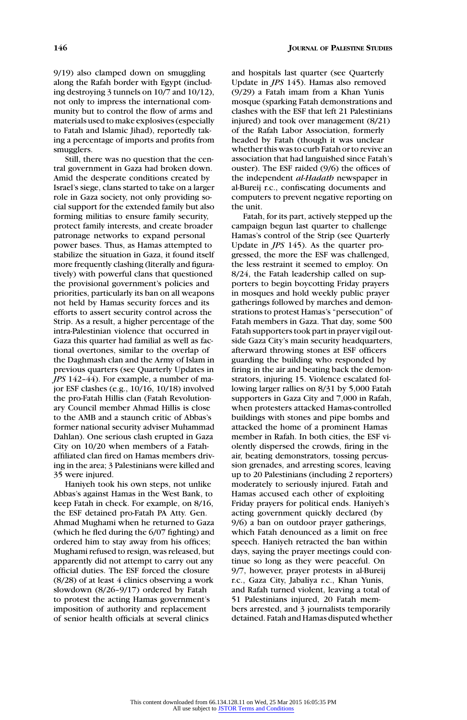9/19) also clamped down on smuggling along the Rafah border with Egypt (including destroying 3 tunnels on 10/7 and 10/12), not only to impress the international community but to control the flow of arms and materials used to make explosives (especially to Fatah and Islamic Jihad), reportedly taking a percentage of imports and profits from smugglers.

Still, there was no question that the central government in Gaza had broken down. Amid the desperate conditions created by Israel's siege, clans started to take on a larger role in Gaza society, not only providing social support for the extended family but also forming militias to ensure family security, protect family interests, and create broader patronage networks to expand personal power bases. Thus, as Hamas attempted to stabilize the situation in Gaza, it found itself more frequently clashing (literally and figuratively) with powerful clans that questioned the provisional government's policies and priorities, particularly its ban on all weapons not held by Hamas security forces and its efforts to assert security control across the Strip. As a result, a higher percentage of the intra-Palestinian violence that occurred in Gaza this quarter had familial as well as factional overtones, similar to the overlap of the Daghmash clan and the Army of Islam in previous quarters (see Quarterly Updates in *JPS* 142-44). For example, a number of major ESF clashes (e.g., 10/16, 10/18) involved the pro-Fatah Hillis clan (Fatah Revolutionary Council member Ahmad Hillis is close to the AMB and a staunch critic of Abbas's former national security adviser Muhammad Dahlan). One serious clash erupted in Gaza City on 10/20 when members of a Fatahaffiliated clan fired on Hamas members driving in the area; 3 Palestinians were killed and 35 were injured.

Haniyeh took his own steps, not unlike Abbas's against Hamas in the West Bank, to keep Fatah in check. For example, on 8/16, the ESF detained pro-Fatah PA Atty. Gen. Ahmad Mughami when he returned to Gaza (which he fled during the 6/07 fighting) and ordered him to stay away from his offices; Mughami refused to resign, was released, but apparently did not attempt to carry out any official duties. The ESF forced the closure (8/28) of at least 4 clinics observing a work slowdown (8/26–9/17) ordered by Fatah to protest the acting Hamas government's imposition of authority and replacement of senior health officials at several clinics

and hospitals last quarter (see Quarterly Update in *JPS* 145). Hamas also removed (9/29) a Fatah imam from a Khan Yunis mosque (sparking Fatah demonstrations and clashes with the ESF that left 21 Palestinians injured) and took over management (8/21) of the Rafah Labor Association, formerly headed by Fatah (though it was unclear whether this was to curb Fatah or to revive an association that had languished since Fatah's ouster). The ESF raided (9/6) the offices of the independent *al-Hadath* newspaper in al-Bureij r.c., confiscating documents and computers to prevent negative reporting on the unit.

Fatah, for its part, actively stepped up the campaign begun last quarter to challenge Hamas's control of the Strip (see Quarterly Update in *JPS* 145). As the quarter progressed, the more the ESF was challenged, the less restraint it seemed to employ. On 8/24, the Fatah leadership called on supporters to begin boycotting Friday prayers in mosques and hold weekly public prayer gatherings followed by marches and demonstrations to protest Hamas's "persecution" of Fatah members in Gaza. That day, some 500 Fatah supporters took part in prayer vigil outside Gaza City's main security headquarters, afterward throwing stones at ESF officers guarding the building who responded by firing in the air and beating back the demonstrators, injuring 15. Violence escalated following larger rallies on 8/31 by 5,000 Fatah supporters in Gaza City and 7,000 in Rafah, when protesters attacked Hamas-controlled buildings with stones and pipe bombs and attacked the home of a prominent Hamas member in Rafah. In both cities, the ESF violently dispersed the crowds, firing in the air, beating demonstrators, tossing percussion grenades, and arresting scores, leaving up to 20 Palestinians (including 2 reporters) moderately to seriously injured. Fatah and Hamas accused each other of exploiting Friday prayers for political ends. Haniyeh's acting government quickly declared (by 9/6) a ban on outdoor prayer gatherings, which Fatah denounced as a limit on free speech. Haniyeh retracted the ban within days, saying the prayer meetings could continue so long as they were peaceful. On 9/7, however, prayer protests in al-Bureij r.c., Gaza City, Jabaliya r.c., Khan Yunis, and Rafah turned violent, leaving a total of 51 Palestinians injured, 20 Fatah members arrested, and 3 journalists temporarily detained. Fatah and Hamas disputed whether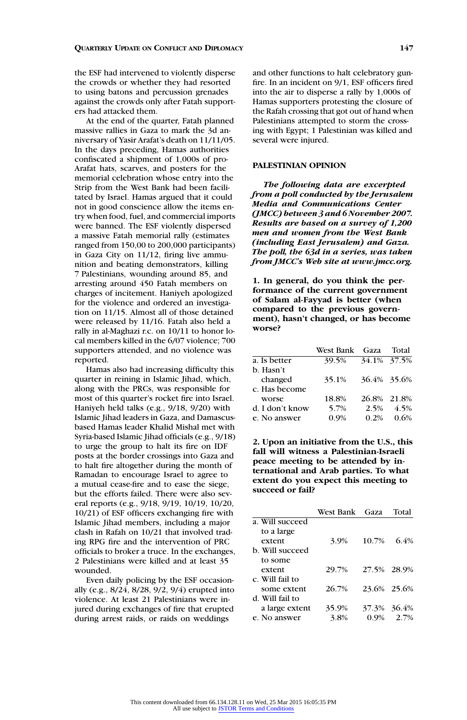the ESF had intervened to violently disperse the crowds or whether they had resorted to using batons and percussion grenades against the crowds only after Fatah supporters had attacked them.

At the end of the quarter, Fatah planned massive rallies in Gaza to mark the 3d anniversary of Yasir Arafat's death on 11/11/05. In the days preceding, Hamas authorities confiscated a shipment of 1,000s of pro-Arafat hats, scarves, and posters for the memorial celebration whose entry into the Strip from the West Bank had been facilitated by Israel. Hamas argued that it could not in good conscience allow the items entry when food, fuel, and commercial imports were banned. The ESF violently dispersed a massive Fatah memorial rally (estimates ranged from 150,00 to 200,000 participants) in Gaza City on 11/12, firing live ammunition and beating demonstrators, killing 7 Palestinians, wounding around 85, and arresting around 450 Fatah members on charges of incitement. Haniyeh apologized for the violence and ordered an investigation on 11/15. Almost all of those detained were released by 11/16. Fatah also held a rally in al-Maghazi r.c. on 10/11 to honor local members killed in the 6/07 violence; 700 supporters attended, and no violence was reported.

Hamas also had increasing difficulty this quarter in reining in Islamic Jihad, which, along with the PRCs, was responsible for most of this quarter's rocket fire into Israel. Haniyeh held talks (e.g., 9/18, 9/20) with Islamic Jihad leaders in Gaza, and Damascusbased Hamas leader Khalid Mishal met with Syria-based Islamic Jihad officials (e.g., 9/18) to urge the group to halt its fire on IDF posts at the border crossings into Gaza and to halt fire altogether during the month of Ramadan to encourage Israel to agree to a mutual cease-fire and to ease the siege, but the efforts failed. There were also several reports (e.g., 9/18, 9/19, 10/19, 10/20, 10/21) of ESF officers exchanging fire with Islamic Jihad members, including a major clash in Rafah on 10/21 that involved trading RPG fire and the intervention of PRC officials to broker a truce. In the exchanges, 2 Palestinians were killed and at least 35 wounded.

Even daily policing by the ESF occasionally (e.g., 8/24, 8/28, 9/2, 9/4) erupted into violence. At least 21 Palestinians were injured during exchanges of fire that erupted during arrest raids, or raids on weddings

and other functions to halt celebratory gunfire. In an incident on 9/1, ESF officers fired into the air to disperse a rally by 1,000s of Hamas supporters protesting the closure of the Rafah crossing that got out of hand when Palestinians attempted to storm the crossing with Egypt; 1 Palestinian was killed and several were injured.

## **PALESTINIAN OPINION**

*The following data are excerpted from a poll conducted by the Jerusalem Media and Communications Center (JMCC) between 3 and 6 November 2007. Results are based on a survey of 1,200 men and women from the West Bank (including East Jerusalem) and Gaza. The poll, the 63d in a series, was taken from JMCC's Web site at www.jmcc.org.*

**1. In general, do you think the performance of the current government of Salam al-Fayyad is better (when compared to the previous government), hasn't changed, or has become worse?**

|                 | West Bank | <b>Gaza</b> | Total       |
|-----------------|-----------|-------------|-------------|
| a. Is better    | 39.5%     |             | 34.1% 37.5% |
| b. Hasn't       |           |             |             |
| changed         | 35.1%     |             | 36.4% 35.6% |
| c. Has become   |           |             |             |
| worse           | 18.8%     |             | 26.8% 21.8% |
| d. I don't know | 5.7%      | 2.5%        | 4.5%        |
| e. No answer    | 0.9%      | 0.2%        | 0.6%        |

**2. Upon an initiative from the U.S., this fall will witness a Palestinian-Israeli peace meeting to be attended by international and Arab parties. To what extent do you expect this meeting to succeed or fail?**

|                 | West Bank Gaza |             | Total |
|-----------------|----------------|-------------|-------|
| a. Will succeed |                |             |       |
| to a large      |                |             |       |
| extent          | 3.9%           | 10.7%       | 6.4%  |
| b. Will succeed |                |             |       |
| to some         |                |             |       |
| extent          | 29.7%          | 27.5% 28.9% |       |
| c. Will fail to |                |             |       |
| some extent     | 26.7%          | 23.6% 25.6% |       |
| d. Will fail to |                |             |       |
| a large extent  | 35.9%          | 37.3% 36.4% |       |
| e. No answer    | 3.8%           | $0.9\%$     | 2.7%  |
|                 |                |             |       |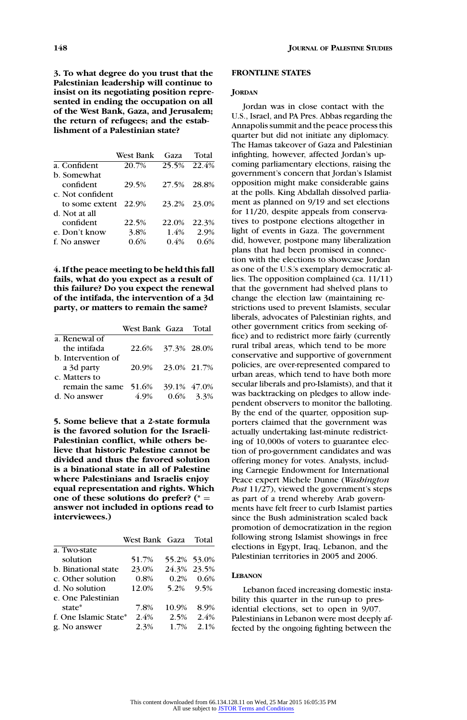**3. To what degree do you trust that the Palestinian leadership will continue to insist on its negotiating position represented in ending the occupation on all of the West Bank, Gaza, and Jerusalem; the return of refugees; and the establishment of a Palestinian state?**

| West Bank               | Gaza  | Total                      |
|-------------------------|-------|----------------------------|
| 20.7%                   |       |                            |
|                         |       |                            |
| 29.5%                   | 27.5% | - 28.8%                    |
| c. Not confident        |       |                            |
| to some extent<br>22.9% |       |                            |
|                         |       |                            |
| 22.5%                   | 22.0% | 22.3%                      |
| 3.8%                    | 1.4%  | 2.9%                       |
| 0.6%                    | 0.4%  | 0.6%                       |
|                         |       | 25.5% 22.4%<br>23.2% 23.0% |

**4. If the peace meeting to be held this fall fails, what do you expect as a result of this failure? Do you expect the renewal of the intifada, the intervention of a 3d party, or matters to remain the same?**

|                                   | West Bank Gaza Total |              |
|-----------------------------------|----------------------|--------------|
| a. Renewal of                     |                      |              |
| the intifada                      | 22.6% 37.3% 28.0%    |              |
| b. Intervention of                |                      |              |
| a 3d party                        | 20.9% 23.0% 21.7%    |              |
| c. Matters to                     |                      |              |
| remain the same 51.6% 39.1% 47.0% |                      |              |
| d. No answer                      | 4.9%                 | $0.6\%$ 3.3% |

**5. Some believe that a 2-state formula is the favored solution for the Israeli-Palestinian conflict, while others believe that historic Palestine cannot be divided and thus the favored solution is a binational state in all of Palestine where Palestinians and Israelis enjoy equal representation and rights. Which one of these solutions do prefer? (\*** = **answer not included in options read to interviewees.)**

|                       | West Bank Gaza |             | Total        |
|-----------------------|----------------|-------------|--------------|
| a. Two-state          |                |             |              |
| solution              | 51.7%          | 55.2% 53.0% |              |
| b. Binational state   | 23.0%          | 24.3% 23.5% |              |
| c. Other solution     | 0.8%           |             | $0.2\%$ 0.6% |
| d. No solution        | 12.0%          |             | 5.2% 9.5%    |
| e. One Palestinian    |                |             |              |
| state*                | 7.8%           | 10.9%       | 8.9%         |
| f. One Islamic State* | 2.4%           | 2.5%        | 2.4%         |
| g. No answer          | 2.3%           | 1.7%        | 2.1%         |

## **FRONTLINE STATES**

## **JORDAN**

Jordan was in close contact with the U.S., Israel, and PA Pres. Abbas regarding the Annapolis summit and the peace process this quarter but did not initiate any diplomacy. The Hamas takeover of Gaza and Palestinian infighting, however, affected Jordan's upcoming parliamentary elections, raising the government's concern that Jordan's Islamist opposition might make considerable gains at the polls. King Abdallah dissolved parliament as planned on 9/19 and set elections for 11/20, despite appeals from conservatives to postpone elections altogether in light of events in Gaza. The government did, however, postpone many liberalization plans that had been promised in connection with the elections to showcase Jordan as one of the U.S.'s exemplary democratic allies. The opposition complained (ca. 11/11) that the government had shelved plans to change the election law (maintaining restrictions used to prevent Islamists, secular liberals, advocates of Palestinian rights, and other government critics from seeking office) and to redistrict more fairly (currently rural tribal areas, which tend to be more conservative and supportive of government policies, are over-represented compared to urban areas, which tend to have both more secular liberals and pro-Islamists), and that it was backtracking on pledges to allow independent observers to monitor the balloting. By the end of the quarter, opposition supporters claimed that the government was actually undertaking last-minute redistricting of 10,000s of voters to guarantee election of pro-government candidates and was offering money for votes. Analysts, including Carnegie Endowment for International Peace expert Michele Dunne (*Washington Post* 11/27), viewed the government's steps as part of a trend whereby Arab governments have felt freer to curb Islamist parties since the Bush administration scaled back promotion of democratization in the region following strong Islamist showings in free elections in Egypt, Iraq, Lebanon, and the Palestinian territories in 2005 and 2006.

#### **LEBANON**

Lebanon faced increasing domestic instability this quarter in the run-up to presidential elections, set to open in 9/07. Palestinians in Lebanon were most deeply affected by the ongoing fighting between the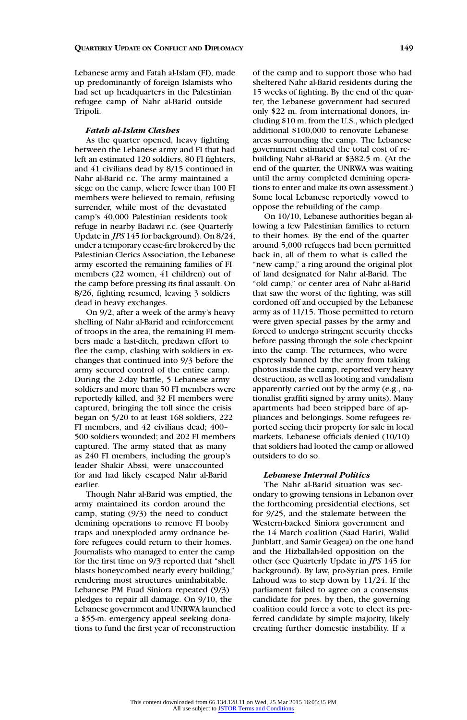Lebanese army and Fatah al-Islam (FI), made up predominantly of foreign Islamists who had set up headquarters in the Palestinian refugee camp of Nahr al-Barid outside Tripoli.

## *Fatah al-Islam Clashes*

As the quarter opened, heavy fighting between the Lebanese army and FI that had left an estimated 120 soldiers, 80 FI fighters, and 41 civilians dead by 8/15 continued in Nahr al-Barid r.c. The army maintained a siege on the camp, where fewer than 100 FI members were believed to remain, refusing surrender, while most of the devastated camp's 40,000 Palestinian residents took refuge in nearby Badawi r.c. (see Quarterly Update in *JPS* 145 for background). On 8/24, under a temporary cease-fire brokered by the Palestinian Clerics Association, the Lebanese army escorted the remaining families of FI members (22 women, 41 children) out of the camp before pressing its final assault. On 8/26, fighting resumed, leaving 3 soldiers dead in heavy exchanges.

On 9/2, after a week of the army's heavy shelling of Nahr al-Barid and reinforcement of troops in the area, the remaining FI members made a last-ditch, predawn effort to flee the camp, clashing with soldiers in exchanges that continued into 9/3 before the army secured control of the entire camp. During the 2-day battle, 5 Lebanese army soldiers and more than 50 FI members were reportedly killed, and 32 FI members were captured, bringing the toll since the crisis began on 5/20 to at least 168 soldiers, 222 FI members, and 42 civilians dead; 400– 500 soldiers wounded; and 202 FI members captured. The army stated that as many as 240 FI members, including the group's leader Shakir Abssi, were unaccounted for and had likely escaped Nahr al-Barid earlier.

Though Nahr al-Barid was emptied, the army maintained its cordon around the camp, stating (9/3) the need to conduct demining operations to remove FI booby traps and unexploded army ordnance before refugees could return to their homes. Journalists who managed to enter the camp for the first time on 9/3 reported that "shell blasts honeycombed nearly every building," rendering most structures uninhabitable. Lebanese PM Fuad Siniora repeated (9/3) pledges to repair all damage. On 9/10, the Lebanese government and UNRWA launched a \$55-m. emergency appeal seeking donations to fund the first year of reconstruction of the camp and to support those who had sheltered Nahr al-Barid residents during the 15 weeks of fighting. By the end of the quarter, the Lebanese government had secured only \$22 m. from international donors, including \$10 m. from the U.S., which pledged additional \$100,000 to renovate Lebanese areas surrounding the camp. The Lebanese government estimated the total cost of rebuilding Nahr al-Barid at \$382.5 m. (At the end of the quarter, the UNRWA was waiting until the army completed demining operations to enter and make its own assessment.) Some local Lebanese reportedly vowed to oppose the rebuilding of the camp.

On 10/10, Lebanese authorities began allowing a few Palestinian families to return to their homes. By the end of the quarter around 5,000 refugees had been permitted back in, all of them to what is called the "new camp," a ring around the original plot of land designated for Nahr al-Barid. The "old camp," or center area of Nahr al-Barid that saw the worst of the fighting, was still cordoned off and occupied by the Lebanese army as of 11/15. Those permitted to return were given special passes by the army and forced to undergo stringent security checks before passing through the sole checkpoint into the camp. The returnees, who were expressly banned by the army from taking photos inside the camp, reported very heavy destruction, as well as looting and vandalism apparently carried out by the army (e.g., nationalist graffiti signed by army units). Many apartments had been stripped bare of appliances and belongings. Some refugees reported seeing their property for sale in local markets. Lebanese officials denied (10/10) that soldiers had looted the camp or allowed outsiders to do so.

## *Lebanese Internal Politics*

The Nahr al-Barid situation was secondary to growing tensions in Lebanon over the forthcoming presidential elections, set for 9/25, and the stalemate between the Western-backed Siniora government and the 14 March coalition (Saad Hariri, Walid Junblatt, and Samir Geagea) on the one hand and the Hizballah-led opposition on the other (see Quarterly Update in *JPS* 145 for background). By law, pro-Syrian pres. Emile Lahoud was to step down by 11/24. If the parliament failed to agree on a consensus candidate for pres. by then, the governing coalition could force a vote to elect its preferred candidate by simple majority, likely creating further domestic instability. If a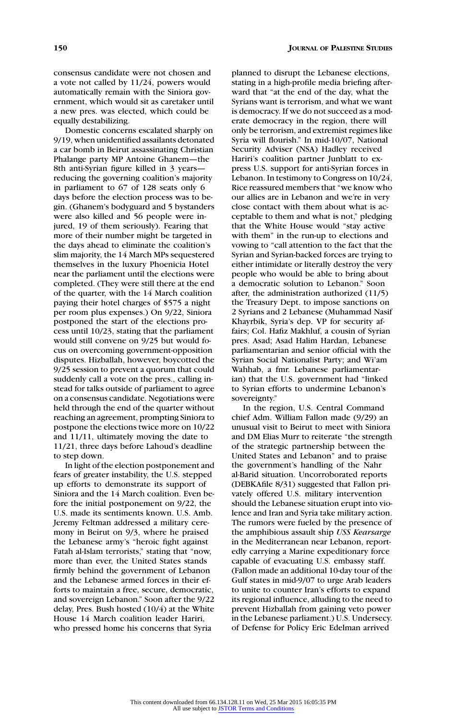Domestic concerns escalated sharply on 9/19, when unidentified assailants detonated a car bomb in Beirut assassinating Christian Phalange party MP Antoine Ghanem—the 8th anti-Syrian figure killed in 3 years reducing the governing coalition's majority in parliament to 67 of 128 seats only 6 days before the election process was to begin. (Ghanem's bodyguard and 5 bystanders were also killed and 56 people were injured, 19 of them seriously). Fearing that more of their number might be targeted in the days ahead to eliminate the coalition's slim majority, the 14 March MPs sequestered themselves in the luxury Phoenicia Hotel near the parliament until the elections were completed. (They were still there at the end of the quarter, with the 14 March coalition paying their hotel charges of \$575 a night per room plus expenses.) On 9/22, Siniora postponed the start of the elections process until 10/23, stating that the parliament would still convene on 9/25 but would focus on overcoming government-opposition disputes. Hizballah, however, boycotted the 9/25 session to prevent a quorum that could suddenly call a vote on the pres., calling instead for talks outside of parliament to agree on a consensus candidate. Negotiations were held through the end of the quarter without reaching an agreement, prompting Siniora to postpone the elections twice more on 10/22 and 11/11, ultimately moving the date to 11/21, three days before Lahoud's deadline to step down.

In light of the election postponement and fears of greater instability, the U.S. stepped up efforts to demonstrate its support of Siniora and the 14 March coalition. Even before the initial postponement on 9/22, the U.S. made its sentiments known. U.S. Amb. Jeremy Feltman addressed a military ceremony in Beirut on 9/3, where he praised the Lebanese army's "heroic fight against Fatah al-Islam terrorists," stating that "now, more than ever, the United States stands firmly behind the government of Lebanon and the Lebanese armed forces in their efforts to maintain a free, secure, democratic, and sovereign Lebanon." Soon after the 9/22 delay, Pres. Bush hosted (10/4) at the White House 14 March coalition leader Hariri, who pressed home his concerns that Syria

planned to disrupt the Lebanese elections, stating in a high-profile media briefing afterward that "at the end of the day, what the Syrians want is terrorism, and what we want is democracy. If we do not succeed as a moderate democracy in the region, there will only be terrorism, and extremist regimes like Syria will flourish." In mid-10/07, National Security Adviser (NSA) Hadley received Hariri's coalition partner Junblatt to express U.S. support for anti-Syrian forces in Lebanon. In testimony to Congress on 10/24, Rice reassured members that "we know who our allies are in Lebanon and we're in very close contact with them about what is acceptable to them and what is not," pledging that the White House would "stay active with them" in the run-up to elections and vowing to "call attention to the fact that the Syrian and Syrian-backed forces are trying to either intimidate or literally destroy the very people who would be able to bring about a democratic solution to Lebanon." Soon after, the administration authorized (11/5) the Treasury Dept. to impose sanctions on 2 Syrians and 2 Lebanese (Muhammad Nasif Khayrbik, Syria's dep. VP for security affairs; Col. Hafiz Makhluf, a cousin of Syrian pres. Asad; Asad Halim Hardan, Lebanese parliamentarian and senior official with the Syrian Social Nationalist Party; and Wi'am Wahhab, a fmr. Lebanese parliamentarian) that the U.S. government had "linked to Syrian efforts to undermine Lebanon's sovereignty."

In the region, U.S. Central Command chief Adm. William Fallon made (9/29) an unusual visit to Beirut to meet with Siniora and DM Elias Murr to reiterate "the strength of the strategic partnership between the United States and Lebanon" and to praise the government's handling of the Nahr al-Barid situation. Uncorroborated reports (DEBKAfile 8/31) suggested that Fallon privately offered U.S. military intervention should the Lebanese situation erupt into violence and Iran and Syria take military action. The rumors were fueled by the presence of the amphibious assault ship *USS Kearsarge* in the Mediterranean near Lebanon, reportedly carrying a Marine expeditionary force capable of evacuating U.S. embassy staff. (Fallon made an additional 10-day tour of the Gulf states in mid-9/07 to urge Arab leaders to unite to counter Iran's efforts to expand its regional influence, alluding to the need to prevent Hizballah from gaining veto power in the Lebanese parliament.) U.S. Undersecy. of Defense for Policy Eric Edelman arrived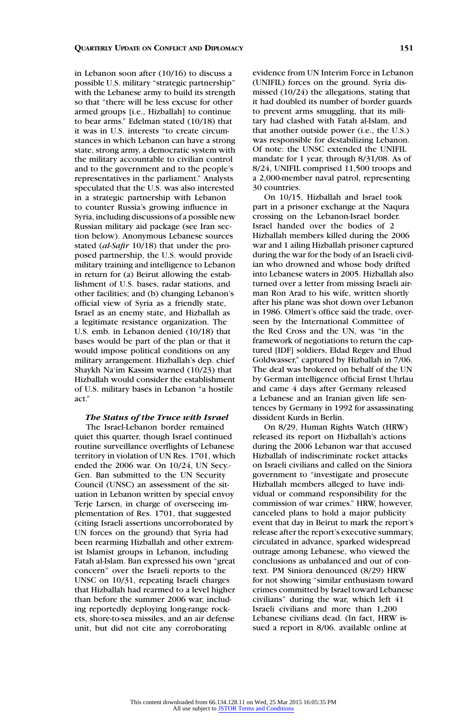#### **QUARTERLY UPDATE ON CONFLICT AND DIPLOMACY 151**

in Lebanon soon after (10/16) to discuss a possible U.S. military "strategic partnership" with the Lebanese army to build its strength so that "there will be less excuse for other armed groups [i.e., Hizballah] to continue to bear arms." Edelman stated (10/18) that it was in U.S. interests "to create circumstances in which Lebanon can have a strong state, strong army, a democratic system with the military accountable to civilian control and to the government and to the people's representatives in the parliament." Analysts speculated that the U.S. was also interested in a strategic partnership with Lebanon to counter Russia's growing influence in Syria, including discussions of a possible new Russian military aid package (see Iran section below). Anonymous Lebanese sources stated (*al-Safir* 10/18) that under the proposed partnership, the U.S. would provide military training and intelligence to Lebanon in return for (a) Beirut allowing the establishment of U.S. bases, radar stations, and other facilities; and (b) changing Lebanon's official view of Syria as a friendly state, Israel as an enemy state, and Hizballah as a legitimate resistance organization. The U.S. emb. in Lebanon denied (10/18) that bases would be part of the plan or that it would impose political conditions on any military arrangement. Hizballah's dep. chief Shaykh Na'im Kassim warned (10/23) that Hizballah would consider the establishment of U.S. military bases in Lebanon "a hostile act."

## *The Status of the Truce with Israel*

The Israel-Lebanon border remained quiet this quarter, though Israel continued routine surveillance overflights of Lebanese territory in violation of UN Res. 1701, which ended the 2006 war. On 10/24, UN Secy.- Gen. Ban submitted to the UN Security Council (UNSC) an assessment of the situation in Lebanon written by special envoy Terje Larsen, in charge of overseeing implementation of Res. 1701, that suggested (citing Israeli assertions uncorroborated by UN forces on the ground) that Syria had been rearming Hizballah and other extremist Islamist groups in Lebanon, including Fatah al-Islam. Ban expressed his own "great concern" over the Israeli reports to the UNSC on 10/31, repeating Israeli charges that Hizballah had rearmed to a level higher than before the summer 2006 war, including reportedly deploying long-range rockets, shore-to-sea missiles, and an air defense unit, but did not cite any corroborating

evidence from UN Interim Force in Lebanon (UNIFIL) forces on the ground. Syria dismissed (10/24) the allegations, stating that it had doubled its number of border guards to prevent arms smuggling, that its military had clashed with Fatah al-Islam, and that another outside power (i.e., the U.S.) was responsible for destabilizing Lebanon. Of note: the UNSC extended the UNIFIL mandate for 1 year, through 8/31/08. As of 8/24, UNIFIL comprised 11,500 troops and a 2,000-member naval patrol, representing 30 countries.

On 10/15, Hizballah and Israel took part in a prisoner exchange at the Naqura crossing on the Lebanon-Israel border. Israel handed over the bodies of 2 Hizballah members killed during the 2006 war and 1 ailing Hizballah prisoner captured during the war for the body of an Israeli civilian who drowned and whose body drifted into Lebanese waters in 2005. Hizballah also turned over a letter from missing Israeli airman Ron Arad to his wife, written shortly after his plane was shot down over Lebanon in 1986. Olmert's office said the trade, overseen by the International Committee of the Red Cross and the UN, was "in the framework of negotiations to return the captured [IDF] soldiers, Eldad Regev and Ehud Goldwasser," captured by Hizballah in 7/06. The deal was brokered on behalf of the UN by German intelligence official Ernst Uhrlau and came 4 days after Germany released a Lebanese and an Iranian given life sentences by Germany in 1992 for assassinating dissident Kurds in Berlin.

On 8/29, Human Rights Watch (HRW) released its report on Hizballah's actions during the 2006 Lebanon war that accused Hizballah of indiscriminate rocket attacks on Israeli civilians and called on the Siniora government to "investigate and prosecute Hizballah members alleged to have individual or command responsibility for the commission of war crimes." HRW, however, canceled plans to hold a major publicity event that day in Beirut to mark the report's release after the report's executive summary, circulated in advance, sparked widespread outrage among Lebanese, who viewed the conclusions as unbalanced and out of context. PM Siniora denounced (8/29) HRW for not showing "similar enthusiasm toward crimes committed by Israel toward Lebanese civilians" during the war, which left 41 Israeli civilians and more than 1,200 Lebanese civilians dead. (In fact, HRW issued a report in 8/06. available online at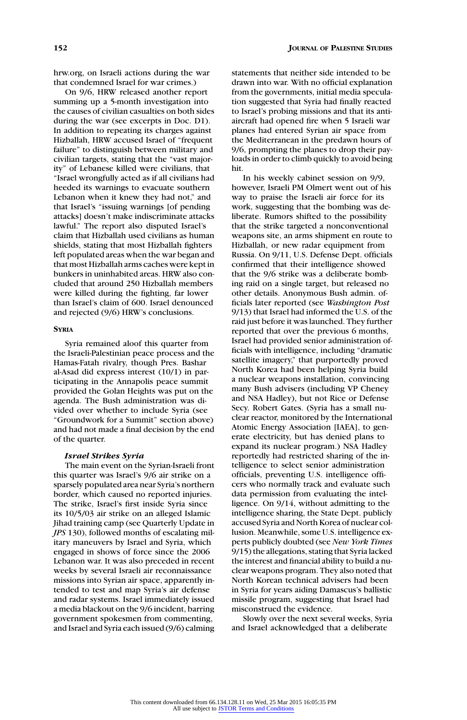hrw.org, on Israeli actions during the war that condemned Israel for war crimes.)

On 9/6, HRW released another report summing up a 5-month investigation into the causes of civilian casualties on both sides during the war (see excerpts in Doc. D1). In addition to repeating its charges against Hizballah, HRW accused Israel of "frequent failure" to distinguish between military and civilian targets, stating that the "vast majority" of Lebanese killed were civilians, that "Israel wrongfully acted as if all civilians had heeded its warnings to evacuate southern Lebanon when it knew they had not," and that Israel's "issuing warnings [of pending attacks] doesn't make indiscriminate attacks lawful." The report also disputed Israel's claim that Hizballah used civilians as human shields, stating that most Hizballah fighters left populated areas when the war began and that most Hizballah arms caches were kept in bunkers in uninhabited areas. HRW also concluded that around 250 Hizballah members were killed during the fighting, far lower than Israel's claim of 600. Israel denounced and rejected (9/6) HRW's conclusions.

## **SYRIA**

Syria remained aloof this quarter from the Israeli-Palestinian peace process and the Hamas-Fatah rivalry, though Pres. Bashar al-Asad did express interest (10/1) in participating in the Annapolis peace summit provided the Golan Heights was put on the agenda. The Bush administration was divided over whether to include Syria (see "Groundwork for a Summit" section above) and had not made a final decision by the end of the quarter.

#### *Israel Strikes Syria*

The main event on the Syrian-Israeli front this quarter was Israel's 9/6 air strike on a sparsely populated area near Syria's northern border, which caused no reported injuries. The strike, Israel's first inside Syria since its 10/5/03 air strike on an alleged Islamic Jihad training camp (see Quarterly Update in *JPS* 130), followed months of escalating military maneuvers by Israel and Syria, which engaged in shows of force since the 2006 Lebanon war. It was also preceded in recent weeks by several Israeli air reconnaissance missions into Syrian air space, apparently intended to test and map Syria's air defense and radar systems. Israel immediately issued a media blackout on the 9/6 incident, barring government spokesmen from commenting, and Israel and Syria each issued (9/6) calming statements that neither side intended to be drawn into war. With no official explanation from the governments, initial media speculation suggested that Syria had finally reacted to Israel's probing missions and that its antiaircraft had opened fire when 5 Israeli war planes had entered Syrian air space from the Mediterranean in the predawn hours of 9/6, prompting the planes to drop their payloads in order to climb quickly to avoid being hit.

In his weekly cabinet session on 9/9, however, Israeli PM Olmert went out of his way to praise the Israeli air force for its work, suggesting that the bombing was deliberate. Rumors shifted to the possibility that the strike targeted a nonconventional weapons site, an arms shipment en route to Hizballah, or new radar equipment from Russia. On 9/11, U.S. Defense Dept. officials confirmed that their intelligence showed that the 9/6 strike was a deliberate bombing raid on a single target, but released no other details. Anonymous Bush admin. officials later reported (see *Washington Post* 9/13) that Israel had informed the U.S. of the raid just before it was launched. They further reported that over the previous 6 months, Israel had provided senior administration officials with intelligence, including "dramatic satellite imagery," that purportedly proved North Korea had been helping Syria build a nuclear weapons installation, convincing many Bush advisers (including VP Cheney and NSA Hadley), but not Rice or Defense Secy. Robert Gates. (Syria has a small nuclear reactor, monitored by the International Atomic Energy Association [IAEA], to generate electricity, but has denied plans to expand its nuclear program.) NSA Hadley reportedly had restricted sharing of the intelligence to select senior administration officials, preventing U.S. intelligence officers who normally track and evaluate such data permission from evaluating the intelligence. On 9/14, without admitting to the intelligence sharing, the State Dept. publicly accused Syria and North Korea of nuclear collusion. Meanwhile, some U.S. intelligence experts publicly doubted (see *New York Times* 9/15) the allegations, stating that Syria lacked the interest and financial ability to build a nuclear weapons program. They also noted that North Korean technical advisers had been in Syria for years aiding Damascus's ballistic missile program, suggesting that Israel had misconstrued the evidence.

Slowly over the next several weeks, Syria and Israel acknowledged that a deliberate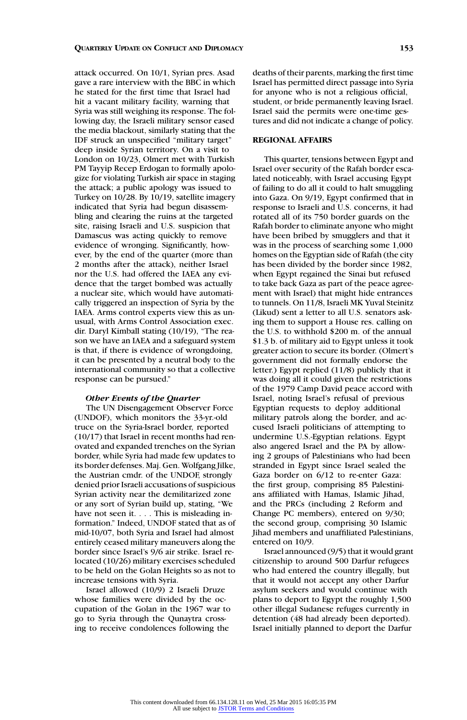attack occurred. On 10/1, Syrian pres. Asad gave a rare interview with the BBC in which he stated for the first time that Israel had hit a vacant military facility, warning that Syria was still weighing its response. The following day, the Israeli military sensor eased the media blackout, similarly stating that the IDF struck an unspecified "military target" deep inside Syrian territory. On a visit to London on 10/23, Olmert met with Turkish PM Tayyip Recep Erdogan to formally apologize for violating Turkish air space in staging the attack; a public apology was issued to Turkey on 10/28. By 10/19, satellite imagery indicated that Syria had begun disassembling and clearing the ruins at the targeted site, raising Israeli and U.S. suspicion that Damascus was acting quickly to remove evidence of wronging. Significantly, however, by the end of the quarter (more than 2 months after the attack), neither Israel nor the U.S. had offered the IAEA any evidence that the target bombed was actually a nuclear site, which would have automatically triggered an inspection of Syria by the IAEA. Arms control experts view this as unusual, with Arms Control Association exec. dir. Daryl Kimball stating (10/19), "The reason we have an IAEA and a safeguard system is that, if there is evidence of wrongdoing, it can be presented by a neutral body to the international community so that a collective response can be pursued."

#### *Other Events of the Quarter*

The UN Disengagement Observer Force (UNDOF), which monitors the 33-yr.-old truce on the Syria-Israel border, reported (10/17) that Israel in recent months had renovated and expanded trenches on the Syrian border, while Syria had made few updates to its border defenses. Maj. Gen. Wolfgang Jilke, the Austrian cmdr. of the UNDOF, strongly denied prior Israeli accusations of suspicious Syrian activity near the demilitarized zone or any sort of Syrian build up, stating, "We have not seen it. . . . This is misleading information." Indeed, UNDOF stated that as of mid-10/07, both Syria and Israel had almost entirely ceased military maneuvers along the border since Israel's 9/6 air strike. Israel relocated (10/26) military exercises scheduled to be held on the Golan Heights so as not to increase tensions with Syria.

Israel allowed (10/9) 2 Israeli Druze whose families were divided by the occupation of the Golan in the 1967 war to go to Syria through the Qunaytra crossing to receive condolences following the

deaths of their parents, marking the first time Israel has permitted direct passage into Syria for anyone who is not a religious official, student, or bride permanently leaving Israel. Israel said the permits were one-time gestures and did not indicate a change of policy.

## **REGIONAL AFFAIRS**

This quarter, tensions between Egypt and Israel over security of the Rafah border escalated noticeably, with Israel accusing Egypt of failing to do all it could to halt smuggling into Gaza. On 9/19, Egypt confirmed that in response to Israeli and U.S. concerns, it had rotated all of its 750 border guards on the Rafah border to eliminate anyone who might have been bribed by smugglers and that it was in the process of searching some 1,000 homes on the Egyptian side of Rafah (the city has been divided by the border since 1982, when Egypt regained the Sinai but refused to take back Gaza as part of the peace agreement with Israel) that might hide entrances to tunnels. On 11/8, Israeli MK Yuval Steinitz (Likud) sent a letter to all U.S. senators asking them to support a House res. calling on the U.S. to withhold \$200 m. of the annual \$1.3 b. of military aid to Egypt unless it took greater action to secure its border. (Olmert's government did not formally endorse the letter.) Egypt replied (11/8) publicly that it was doing all it could given the restrictions of the 1979 Camp David peace accord with Israel, noting Israel's refusal of previous Egyptian requests to deploy additional military patrols along the border, and accused Israeli politicians of attempting to undermine U.S.-Egyptian relations. Egypt also angered Israel and the PA by allowing 2 groups of Palestinians who had been stranded in Egypt since Israel sealed the Gaza border on 6/12 to re-enter Gaza: the first group, comprising 85 Palestinians affiliated with Hamas, Islamic Jihad, and the PRCs (including 2 Reform and Change PC members), entered on 9/30; the second group, comprising 30 Islamic Jihad members and unaffiliated Palestinians, entered on 10/9.

Israel announced (9/5) that it would grant citizenship to around 500 Darfur refugees who had entered the country illegally, but that it would not accept any other Darfur asylum seekers and would continue with plans to deport to Egypt the roughly 1,500 other illegal Sudanese refuges currently in detention (48 had already been deported). Israel initially planned to deport the Darfur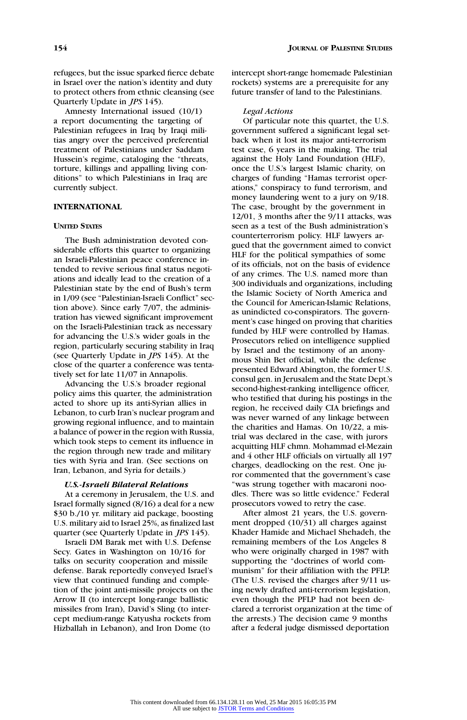refugees, but the issue sparked fierce debate in Israel over the nation's identity and duty to protect others from ethnic cleansing (see Quarterly Update in *JPS* 145).

Amnesty International issued (10/1) a report documenting the targeting of Palestinian refugees in Iraq by Iraqi militias angry over the perceived preferential treatment of Palestinians under Saddam Hussein's regime, cataloging the "threats, torture, killings and appalling living conditions" to which Palestinians in Iraq are currently subject.

## **INTERNATIONAL**

### **UNITED STATES**

The Bush administration devoted considerable efforts this quarter to organizing an Israeli-Palestinian peace conference intended to revive serious final status negotiations and ideally lead to the creation of a Palestinian state by the end of Bush's term in 1/09 (see "Palestinian-Israeli Conflict" section above). Since early 7/07, the administration has viewed significant improvement on the Israeli-Palestinian track as necessary for advancing the U.S.'s wider goals in the region, particularly securing stability in Iraq (see Quarterly Update in *JPS* 145). At the close of the quarter a conference was tentatively set for late 11/07 in Annapolis.

Advancing the U.S.'s broader regional policy aims this quarter, the administration acted to shore up its anti-Syrian allies in Lebanon, to curb Iran's nuclear program and growing regional influence, and to maintain a balance of power in the region with Russia, which took steps to cement its influence in the region through new trade and military ties with Syria and Iran. (See sections on Iran, Lebanon, and Syria for details.)

#### *U.S.-Israeli Bilateral Relations*

At a ceremony in Jerusalem, the U.S. and Israel formally signed (8/16) a deal for a new \$30 b./10 yr. military aid package, boosting U.S. military aid to Israel 25%, as finalized last quarter (see Quarterly Update in *JPS* 145).

Israeli DM Barak met with U.S. Defense Secy. Gates in Washington on 10/16 for talks on security cooperation and missile defense. Barak reportedly conveyed Israel's view that continued funding and completion of the joint anti-missile projects on the Arrow II (to intercept long-range ballistic missiles from Iran), David's Sling (to intercept medium-range Katyusha rockets from Hizballah in Lebanon), and Iron Dome (to

intercept short-range homemade Palestinian rockets) systems are a prerequisite for any future transfer of land to the Palestinians.

## *Legal Actions*

Of particular note this quartet, the U.S. government suffered a significant legal setback when it lost its major anti-terrorism test case, 6 years in the making. The trial against the Holy Land Foundation (HLF), once the U.S.'s largest Islamic charity, on charges of funding "Hamas terrorist operations," conspiracy to fund terrorism, and money laundering went to a jury on 9/18. The case, brought by the government in 12/01, 3 months after the 9/11 attacks, was seen as a test of the Bush administration's counterterrorism policy. HLF lawyers argued that the government aimed to convict HLF for the political sympathies of some of its officials, not on the basis of evidence of any crimes. The U.S. named more than 300 individuals and organizations, including the Islamic Society of North America and the Council for American-Islamic Relations, as unindicted co-conspirators. The government's case hinged on proving that charities funded by HLF were controlled by Hamas. Prosecutors relied on intelligence supplied by Israel and the testimony of an anonymous Shin Bet official, while the defense presented Edward Abington, the former U.S. consul gen. in Jerusalem and the State Dept.'s second-highest-ranking intelligence officer, who testified that during his postings in the region, he received daily CIA briefings and was never warned of any linkage between the charities and Hamas. On 10/22, a mistrial was declared in the case, with jurors acquitting HLF chmn. Mohammad el-Mezain and 4 other HLF officials on virtually all 197 charges, deadlocking on the rest. One juror commented that the government's case "was strung together with macaroni noodles. There was so little evidence." Federal prosecutors vowed to retry the case.

After almost 21 years, the U.S. government dropped (10/31) all charges against Khader Hamide and Michael Shehadeh, the remaining members of the Los Angeles 8 who were originally charged in 1987 with supporting the "doctrines of world communism" for their affiliation with the PFLP. (The U.S. revised the charges after 9/11 using newly drafted anti-terrorism legislation, even though the PFLP had not been declared a terrorist organization at the time of the arrests.) The decision came 9 months after a federal judge dismissed deportation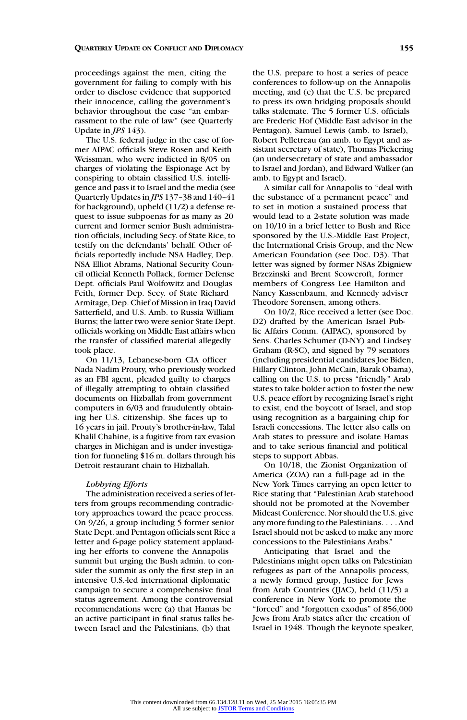## **QUARTERLY UPDATE ON CONFLICT AND DIPLOMACY 155**

proceedings against the men, citing the government for failing to comply with his order to disclose evidence that supported their innocence, calling the government's behavior throughout the case "an embarrassment to the rule of law" (see Quarterly Update in *JPS* 143).

The U.S. federal judge in the case of former AIPAC officials Steve Rosen and Keith Weissman, who were indicted in 8/05 on charges of violating the Espionage Act by conspiring to obtain classified U.S. intelligence and pass it to Israel and the media (see Quarterly Updates in *JPS* 137–38 and 140–41 for background), upheld (11/2) a defense request to issue subpoenas for as many as 20 current and former senior Bush administration officials, including Secy. of State Rice, to testify on the defendants' behalf. Other officials reportedly include NSA Hadley, Dep. NSA Elliot Abrams, National Security Council official Kenneth Pollack, former Defense Dept. officials Paul Wolfowitz and Douglas Feith, former Dep. Secy. of State Richard Armitage, Dep. Chief of Mission in Iraq David Satterfield, and U.S. Amb. to Russia William Burns; the latter two were senior State Dept. officials working on Middle East affairs when the transfer of classified material allegedly took place.

On 11/13, Lebanese-born CIA officer Nada Nadim Prouty, who previously worked as an FBI agent, pleaded guilty to charges of illegally attempting to obtain classified documents on Hizballah from government computers in 6/03 and fraudulently obtaining her U.S. citizenship. She faces up to 16 years in jail. Prouty's brother-in-law, Talal Khalil Chahine, is a fugitive from tax evasion charges in Michigan and is under investigation for funneling \$16 m. dollars through his Detroit restaurant chain to Hizballah.

#### *Lobbying Efforts*

The administration received a series of letters from groups recommending contradictory approaches toward the peace process. On 9/26, a group including 5 former senior State Dept. and Pentagon officials sent Rice a letter and 6-page policy statement applauding her efforts to convene the Annapolis summit but urging the Bush admin. to consider the summit as only the first step in an intensive U.S.-led international diplomatic campaign to secure a comprehensive final status agreement. Among the controversial recommendations were (a) that Hamas be an active participant in final status talks between Israel and the Palestinians, (b) that

the U.S. prepare to host a series of peace conferences to follow-up on the Annapolis meeting, and (c) that the U.S. be prepared to press its own bridging proposals should talks stalemate. The 5 former U.S. officials are Frederic Hof (Middle East advisor in the Pentagon), Samuel Lewis (amb. to Israel), Robert Pelletreau (an amb. to Egypt and assistant secretary of state), Thomas Pickering (an undersecretary of state and ambassador to Israel and Jordan), and Edward Walker (an amb. to Egypt and Israel).

A similar call for Annapolis to "deal with the substance of a permanent peace" and to set in motion a sustained process that would lead to a 2-state solution was made on 10/10 in a brief letter to Bush and Rice sponsored by the U.S.-Middle East Project, the International Crisis Group, and the New American Foundation (see Doc. D3). That letter was signed by former NSAs Zbigniew Brzezinski and Brent Scowcroft, former members of Congress Lee Hamilton and Nancy Kassenbaum, and Kennedy adviser Theodore Sorensen, among others.

On 10/2, Rice received a letter (see Doc. D2) drafted by the American Israel Public Affairs Comm. (AIPAC), sponsored by Sens. Charles Schumer (D-NY) and Lindsey Graham (R-SC), and signed by 79 senators (including presidential candidates Joe Biden, Hillary Clinton, John McCain, Barak Obama), calling on the U.S. to press "friendly" Arab states to take bolder action to foster the new U.S. peace effort by recognizing Israel's right to exist, end the boycott of Israel, and stop using recognition as a bargaining chip for Israeli concessions. The letter also calls on Arab states to pressure and isolate Hamas and to take serious financial and political steps to support Abbas.

On 10/18, the Zionist Organization of America (ZOA) ran a full-page ad in the New York Times carrying an open letter to Rice stating that "Palestinian Arab statehood should not be promoted at the November Mideast Conference. Nor should the U.S. give any more funding to the Palestinians. . . . And Israel should not be asked to make any more concessions to the Palestinians Arabs."

Anticipating that Israel and the Palestinians might open talks on Palestinian refugees as part of the Annapolis process, a newly formed group, Justice for Jews from Arab Countries (JJAC), held (11/5) a conference in New York to promote the "forced" and "forgotten exodus" of 856,000 Jews from Arab states after the creation of Israel in 1948. Though the keynote speaker,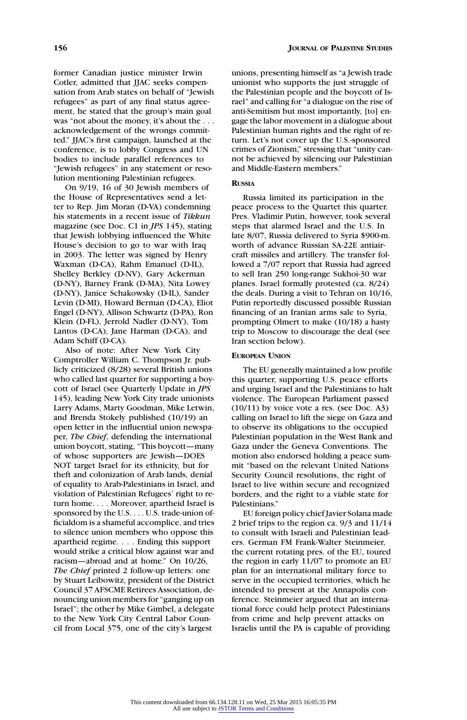former Canadian justice minister Irwin Cotler, admitted that IIAC seeks compensation from Arab states on behalf of "Jewish refugees" as part of any final status agreement, he stated that the group's main goal was "not about the money, it's about the ... acknowledgement of the wrongs committed." JJAC's first campaign, launched at the conference, is to lobby Congress and UN bodies to include parallel references to "Jewish refugees" in any statement or resolution mentioning Palestinian refugees.

On 9/19, 16 of 30 Jewish members of the House of Representatives send a letter to Rep. Jim Moran (D-VA) condemning his statements in a recent issue of *Tikkun* magazine (see Doc. C1 in *JPS* 145), stating that Jewish lobbying influenced the White House's decision to go to war with Iraq in 2003. The letter was signed by Henry Waxman (D-CA), Rahm Emanuel (D-IL), Shelley Berkley (D-NV), Gary Ackerman (D-NY), Barney Frank (D-MA), Nita Lowey (D-NY), Janice Schakowsky (D-IL), Sander Levin (D-MI), Howard Berman (D-CA), Eliot Engel (D-NY), Allison Schwartz (D-PA), Ron Klein (D-FL), Jerrold Nadler (D-NY), Tom Lantos (D-CA), Jane Harman (D-CA), and Adam Schiff (D-CA).

Also of note: After New York City Comptroller William C. Thompson Jr. publicly criticized (8/28) several British unions who called last quarter for supporting a boycott of Israel (see Quarterly Update in *JPS* 145), leading New York City trade unionists Larry Adams, Marty Goodman, Mike Letwin, and Brenda Stokely published (10/19) an open letter in the influential union newspaper, *The Chief*, defending the international union boycott, stating, "This boycott—many of whose supporters are Jewish—DOES NOT target Israel for its ethnicity, but for theft and colonization of Arab lands, denial of equality to Arab-Palestinians in Israel, and violation of Palestinian Refugees' right to return home. . . . Moreover, apartheid Israel is sponsored by the U.S. . . . U.S. trade-union officialdom is a shameful accomplice, and tries to silence union members who oppose this apartheid regime.... Ending this support would strike a critical blow against war and racism—abroad and at home." On 10/26, *The Chief* printed 2 follow-up letters: one by Stuart Leibowitz, president of the District Council 37 AFSCME Retirees Association, denouncing union members for "ganging up on Israel"; the other by Mike Gimbel, a delegate to the New York City Central Labor Council from Local 375, one of the city's largest

unions, presenting himself as "a Jewish trade unionist who supports the just struggle of the Palestinian people and the boycott of Israel" and calling for "a dialogue on the rise of anti-Semitism but most importantly, [to] engage the labor movement in a dialogue about Palestinian human rights and the right of return. Let's not cover up the U.S.-sponsored crimes of Zionism," stressing that "unity cannot be achieved by silencing our Palestinian and Middle-Eastern members."

#### **RUSSIA**

Russia limited its participation in the peace process to the Quartet this quarter. Pres. Vladimir Putin, however, took several steps that alarmed Israel and the U.S. In late 8/07, Russia delivered to Syria \$900-m. worth of advance Russian SA-22E antiaircraft missiles and artillery. The transfer followed a 7/07 report that Russia had agreed to sell Iran 250 long-range Sukhoi-30 war planes. Israel formally protested (ca. 8/24) the deals. During a visit to Tehran on 10/16, Putin reportedly discussed possible Russian financing of an Iranian arms sale to Syria, prompting Olmert to make (10/18) a hasty trip to Moscow to discourage the deal (see Iran section below).

#### **EUROPEAN UNION**

The EU generally maintained a low profile this quarter, supporting U.S. peace efforts and urging Israel and the Palestinians to halt violence. The European Parliament passed  $(10/11)$  by voice vote a res. (see Doc. A3) calling on Israel to lift the siege on Gaza and to observe its obligations to the occupied Palestinian population in the West Bank and Gaza under the Geneva Conventions. The motion also endorsed holding a peace summit "based on the relevant United Nations Security Council resolutions, the right of Israel to live within secure and recognized borders, and the right to a viable state for Palestinians."

EU foreign policy chief Javier Solana made 2 brief trips to the region ca. 9/3 and 11/14 to consult with Israeli and Palestinian leaders. German FM Frank-Walter Steinmeier, the current rotating pres. of the EU, toured the region in early 11/07 to promote an EU plan for an international military force to serve in the occupied territories, which he intended to present at the Annapolis conference. Steinmeier argued that an international force could help protect Palestinians from crime and help prevent attacks on Israelis until the PA is capable of providing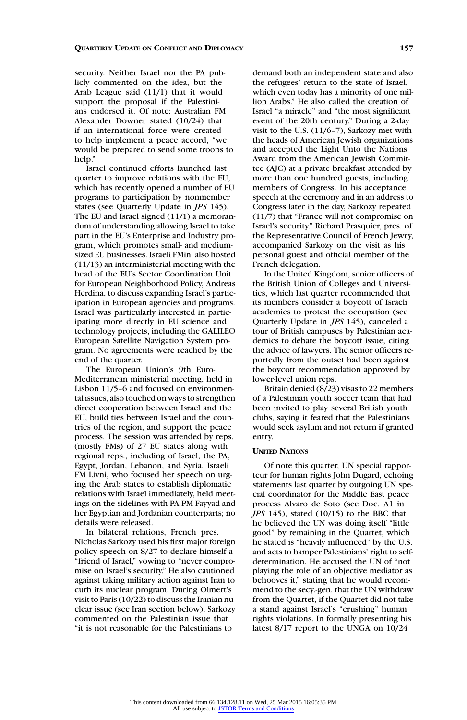security. Neither Israel nor the PA publicly commented on the idea, but the Arab League said (11/1) that it would support the proposal if the Palestinians endorsed it. Of note: Australian FM Alexander Downer stated (10/24) that if an international force were created to help implement a peace accord, "we would be prepared to send some troops to help."

Israel continued efforts launched last quarter to improve relations with the EU, which has recently opened a number of EU programs to participation by nonmember states (see Quarterly Update in *JPS* 145). The EU and Israel signed (11/1) a memorandum of understanding allowing Israel to take part in the EU's Enterprise and Industry program, which promotes small- and mediumsized EU businesses. Israeli FMin. also hosted (11/13) an interministerial meeting with the head of the EU's Sector Coordination Unit for European Neighborhood Policy, Andreas Herdina, to discuss expanding Israel's participation in European agencies and programs. Israel was particularly interested in participating more directly in EU science and technology projects, including the GALILEO European Satellite Navigation System program. No agreements were reached by the end of the quarter.

The European Union's 9th Euro-Mediterranean ministerial meeting, held in Lisbon 11/5–6 and focused on environmental issues, also touched on ways to strengthen direct cooperation between Israel and the EU, build ties between Israel and the countries of the region, and support the peace process. The session was attended by reps. (mostly FMs) of 27 EU states along with regional reps., including of Israel, the PA, Egypt, Jordan, Lebanon, and Syria. Israeli FM Livni, who focused her speech on urging the Arab states to establish diplomatic relations with Israel immediately, held meetings on the sidelines with PA PM Fayyad and her Egyptian and Jordanian counterparts; no details were released.

In bilateral relations, French pres. Nicholas Sarkozy used his first major foreign policy speech on 8/27 to declare himself a "friend of Israel," vowing to "never compromise on Israel's security." He also cautioned against taking military action against Iran to curb its nuclear program. During Olmert's visit to Paris (10/22) to discuss the Iranian nuclear issue (see Iran section below), Sarkozy commented on the Palestinian issue that "it is not reasonable for the Palestinians to

demand both an independent state and also the refugees' return to the state of Israel, which even today has a minority of one million Arabs." He also called the creation of Israel "a miracle" and "the most significant event of the 20th century." During a 2-day visit to the U.S. (11/6–7), Sarkozy met with the heads of American Jewish organizations and accepted the Light Unto the Nations Award from the American Jewish Committee (AJC) at a private breakfast attended by more than one hundred guests, including members of Congress. In his acceptance speech at the ceremony and in an address to Congress later in the day, Sarkozy repeated (11/7) that "France will not compromise on Israel's security." Richard Prasquier, pres. of the Representative Council of French Jewry, accompanied Sarkozy on the visit as his personal guest and official member of the French delegation.

In the United Kingdom, senior officers of the British Union of Colleges and Universities, which last quarter recommended that its members consider a boycott of Israeli academics to protest the occupation (see Quarterly Update in *JPS* 145), canceled a tour of British campuses by Palestinian academics to debate the boycott issue, citing the advice of lawyers. The senior officers reportedly from the outset had been against the boycott recommendation approved by lower-level union reps.

Britain denied (8/23) visas to 22 members of a Palestinian youth soccer team that had been invited to play several British youth clubs, saying it feared that the Palestinians would seek asylum and not return if granted entry.

## **UNITED NATIONS**

Of note this quarter, UN special rapporteur for human rights John Dugard, echoing statements last quarter by outgoing UN special coordinator for the Middle East peace process Alvaro de Soto (see Doc. A1 in *JPS* 145), stated (10/15) to the BBC that he believed the UN was doing itself "little good" by remaining in the Quartet, which he stated is "heavily influenced" by the U.S. and acts to hamper Palestinians' right to selfdetermination. He accused the UN of "not playing the role of an objective mediator as behooves it," stating that he would recommend to the secy.-gen. that the UN withdraw from the Quartet, if the Quartet did not take a stand against Israel's "crushing" human rights violations. In formally presenting his latest 8/17 report to the UNGA on 10/24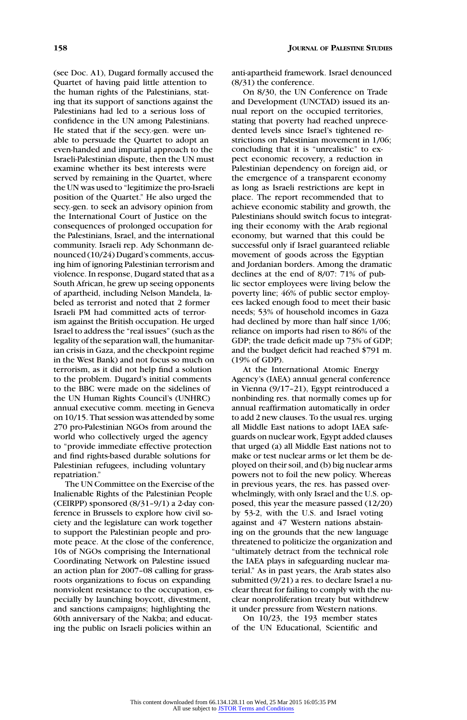(see Doc. A1), Dugard formally accused the Quartet of having paid little attention to the human rights of the Palestinians, stating that its support of sanctions against the Palestinians had led to a serious loss of confidence in the UN among Palestinians. He stated that if the secy.-gen. were unable to persuade the Quartet to adopt an even-handed and impartial approach to the Israeli-Palestinian dispute, then the UN must examine whether its best interests were served by remaining in the Quartet, where the UN was used to "legitimize the pro-Israeli position of the Quartet." He also urged the secy.-gen. to seek an advisory opinion from the International Court of Justice on the consequences of prolonged occupation for the Palestinians, Israel, and the international community. Israeli rep. Ady Schonmann denounced (10/24) Dugard's comments, accusing him of ignoring Palestinian terrorism and violence. In response, Dugard stated that as a South African, he grew up seeing opponents of apartheid, including Nelson Mandela, labeled as terrorist and noted that 2 former Israeli PM had committed acts of terrorism against the British occupation. He urged Israel to address the "real issues" (such as the legality of the separation wall, the humanitarian crisis in Gaza, and the checkpoint regime in the West Bank) and not focus so much on terrorism, as it did not help find a solution to the problem. Dugard's initial comments to the BBC were made on the sidelines of the UN Human Rights Council's (UNHRC) annual executive comm. meeting in Geneva on 10/15. That session was attended by some 270 pro-Palestinian NGOs from around the world who collectively urged the agency to "provide immediate effective protection and find rights-based durable solutions for Palestinian refugees, including voluntary repatriation."

The UN Committee on the Exercise of the Inalienable Rights of the Palestinian People (CEIRPP) sponsored (8/31–9/1) a 2-day conference in Brussels to explore how civil society and the legislature can work together to support the Palestinian people and promote peace. At the close of the conference, 10s of NGOs comprising the International Coordinating Network on Palestine issued an action plan for 2007–08 calling for grassroots organizations to focus on expanding nonviolent resistance to the occupation, especially by launching boycott, divestment, and sanctions campaigns; highlighting the 60th anniversary of the Nakba; and educating the public on Israeli policies within an

anti-apartheid framework. Israel denounced (8/31) the conference.

On 8/30, the UN Conference on Trade and Development (UNCTAD) issued its annual report on the occupied territories, stating that poverty had reached unprecedented levels since Israel's tightened restrictions on Palestinian movement in 1/06; concluding that it is "unrealistic" to expect economic recovery, a reduction in Palestinian dependency on foreign aid, or the emergence of a transparent economy as long as Israeli restrictions are kept in place. The report recommended that to achieve economic stability and growth, the Palestinians should switch focus to integrating their economy with the Arab regional economy, but warned that this could be successful only if Israel guaranteed reliable movement of goods across the Egyptian and Jordanian borders. Among the dramatic declines at the end of 8/07: 71% of public sector employees were living below the poverty line; 46% of public sector employees lacked enough food to meet their basic needs; 53% of household incomes in Gaza had declined by more than half since 1/06; reliance on imports had risen to 86% of the GDP; the trade deficit made up 73% of GDP; and the budget deficit had reached \$791 m. (19% of GDP).

At the International Atomic Energy Agency's (IAEA) annual general conference in Vienna (9/17–21), Egypt reintroduced a nonbinding res. that normally comes up for annual reaffirmation automatically in order to add 2 new clauses. To the usual res. urging all Middle East nations to adopt IAEA safeguards on nuclear work, Egypt added clauses that urged (a) all Middle East nations not to make or test nuclear arms or let them be deployed on their soil, and (b) big nuclear arms powers not to foil the new policy. Whereas in previous years, the res. has passed overwhelmingly, with only Israel and the U.S. opposed, this year the measure passed (12/20) by 53-2, with the U.S. and Israel voting against and 47 Western nations abstaining on the grounds that the new language threatened to politicize the organization and "ultimately detract from the technical role the IAEA plays in safeguarding nuclear material." As in past years, the Arab states also submitted (9/21) a res. to declare Israel a nuclear threat for failing to comply with the nuclear nonproliferation treaty but withdrew it under pressure from Western nations.

On 10/23, the 193 member states of the UN Educational, Scientific and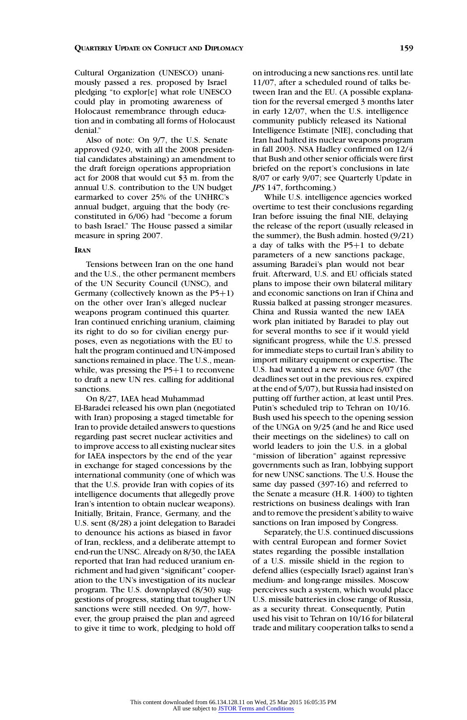Cultural Organization (UNESCO) unanimously passed a res. proposed by Israel pledging "to explor[e] what role UNESCO could play in promoting awareness of Holocaust remembrance through education and in combating all forms of Holocaust denial.'

Also of note: On 9/7, the U.S. Senate approved (92-0, with all the 2008 presidential candidates abstaining) an amendment to the draft foreign operations appropriation act for 2008 that would cut \$3 m. from the annual U.S. contribution to the UN budget earmarked to cover 25% of the UNHRC's annual budget, arguing that the body (reconstituted in 6/06) had "become a forum to bash Israel." The House passed a similar measure in spring 2007.

#### **IRAN**

Tensions between Iran on the one hand and the U.S., the other permanent members of the UN Security Council (UNSC), and Germany (collectively known as the P5+1) on the other over Iran's alleged nuclear weapons program continued this quarter. Iran continued enriching uranium, claiming its right to do so for civilian energy purposes, even as negotiations with the EU to halt the program continued and UN-imposed sanctions remained in place. The U.S., meanwhile, was pressing the P5+1 to reconvene to draft a new UN res. calling for additional sanctions.

On 8/27, IAEA head Muhammad El-Baradei released his own plan (negotiated with Iran) proposing a staged timetable for Iran to provide detailed answers to questions regarding past secret nuclear activities and to improve access to all existing nuclear sites for IAEA inspectors by the end of the year in exchange for staged concessions by the international community (one of which was that the U.S. provide Iran with copies of its intelligence documents that allegedly prove Iran's intention to obtain nuclear weapons). Initially, Britain, France, Germany, and the U.S. sent (8/28) a joint delegation to Baradei to denounce his actions as biased in favor of Iran, reckless, and a deliberate attempt to end-run the UNSC. Already on 8/30, the IAEA reported that Iran had reduced uranium enrichment and had given "significant" cooperation to the UN's investigation of its nuclear program. The U.S. downplayed (8/30) suggestions of progress, stating that tougher UN sanctions were still needed. On 9/7, however, the group praised the plan and agreed to give it time to work, pledging to hold off on introducing a new sanctions res. until late 11/07, after a scheduled round of talks between Iran and the EU. (A possible explanation for the reversal emerged 3 months later in early 12/07, when the U.S. intelligence community publicly released its National Intelligence Estimate [NIE], concluding that Iran had halted its nuclear weapons program in fall 2003. NSA Hadley confirmed on 12/4 that Bush and other senior officials were first briefed on the report's conclusions in late 8/07 or early 9/07; see Quarterly Update in *JPS* 147, forthcoming.)

While U.S. intelligence agencies worked overtime to test their conclusions regarding Iran before issuing the final NIE, delaying the release of the report (usually released in the summer), the Bush admin. hosted (9/21) a day of talks with the P5+1 to debate parameters of a new sanctions package, assuming Baradei's plan would not bear fruit. Afterward, U.S. and EU officials stated plans to impose their own bilateral military and economic sanctions on Iran if China and Russia balked at passing stronger measures. China and Russia wanted the new IAEA work plan initiated by Baradei to play out for several months to see if it would yield significant progress, while the U.S. pressed for immediate steps to curtail Iran's ability to import military equipment or expertise. The U.S. had wanted a new res. since 6/07 (the deadlines set out in the previous res. expired at the end of 5/07), but Russia had insisted on putting off further action, at least until Pres. Putin's scheduled trip to Tehran on 10/16. Bush used his speech to the opening session of the UNGA on 9/25 (and he and Rice used their meetings on the sidelines) to call on world leaders to join the U.S. in a global "mission of liberation" against repressive governments such as Iran, lobbying support for new UNSC sanctions. The U.S. House the same day passed (397-16) and referred to the Senate a measure (H.R. 1400) to tighten restrictions on business dealings with Iran and to remove the president's ability to waive sanctions on Iran imposed by Congress.

Separately, the U.S. continued discussions with central European and former Soviet states regarding the possible installation of a U.S. missile shield in the region to defend allies (especially Israel) against Iran's medium- and long-range missiles. Moscow perceives such a system, which would place U.S. missile batteries in close range of Russia, as a security threat. Consequently, Putin used his visit to Tehran on 10/16 for bilateral trade and military cooperation talks to send a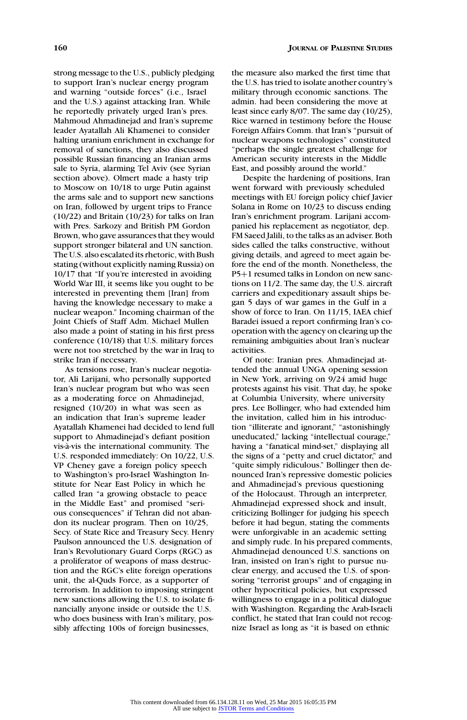strong message to the U.S., publicly pledging to support Iran's nuclear energy program and warning "outside forces" (i.e., Israel and the U.S.) against attacking Iran. While he reportedly privately urged Iran's pres. Mahmoud Ahmadinejad and Iran's supreme leader Ayatallah Ali Khamenei to consider halting uranium enrichment in exchange for removal of sanctions, they also discussed possible Russian financing an Iranian arms sale to Syria, alarming Tel Aviv (see Syrian section above). Olmert made a hasty trip to Moscow on 10/18 to urge Putin against the arms sale and to support new sanctions on Iran, followed by urgent trips to France (10/22) and Britain (10/23) for talks on Iran with Pres. Sarkozy and British PM Gordon Brown, who gave assurances that they would support stronger bilateral and UN sanction. The U.S. also escalated its rhetoric, with Bush stating (without explicitly naming Russia) on 10/17 that "If you're interested in avoiding World War III, it seems like you ought to be interested in preventing them [Iran] from having the knowledge necessary to make a nuclear weapon." Incoming chairman of the Joint Chiefs of Staff Adm. Michael Mullen also made a point of stating in his first press conference (10/18) that U.S. military forces were not too stretched by the war in Iraq to strike Iran if necessary.

As tensions rose, Iran's nuclear negotiator, Ali Larijani, who personally supported Iran's nuclear program but who was seen as a moderating force on Ahmadinejad, resigned (10/20) in what was seen as an indication that Iran's supreme leader Ayatallah Khamenei had decided to lend full support to Ahmadinejad's defiant position vis-à-vis the international community. The U.S. responded immediately: On 10/22, U.S. VP Cheney gave a foreign policy speech to Washington's pro-Israel Washington Institute for Near East Policy in which he called Iran "a growing obstacle to peace in the Middle East" and promised "serious consequences" if Tehran did not abandon its nuclear program. Then on 10/25, Secy. of State Rice and Treasury Secy. Henry Paulson announced the U.S. designation of Iran's Revolutionary Guard Corps (RGC) as a proliferator of weapons of mass destruction and the RGC's elite foreign operations unit, the al-Quds Force, as a supporter of terrorism. In addition to imposing stringent new sanctions allowing the U.S. to isolate financially anyone inside or outside the U.S. who does business with Iran's military, possibly affecting 100s of foreign businesses,

the measure also marked the first time that the U.S. has tried to isolate another country's military through economic sanctions. The admin. had been considering the move at least since early 8/07. The same day (10/25), Rice warned in testimony before the House Foreign Affairs Comm. that Iran's "pursuit of nuclear weapons technologies" constituted "perhaps the single greatest challenge for American security interests in the Middle East, and possibly around the world."

Despite the hardening of positions, Iran went forward with previously scheduled meetings with EU foreign policy chief Javier Solana in Rome on 10/23 to discuss ending Iran's enrichment program. Larijani accompanied his replacement as negotiator, dep. FM Saeed Jalili, to the talks as an adviser. Both sides called the talks constructive, without giving details, and agreed to meet again before the end of the month. Nonetheless, the P5+1 resumed talks in London on new sanctions on 11/2. The same day, the U.S. aircraft carriers and expeditionary assault ships began 5 days of war games in the Gulf in a show of force to Iran. On 11/15, IAEA chief Baradei issued a report confirming Iran's cooperation with the agency on clearing up the remaining ambiguities about Iran's nuclear activities.

Of note: Iranian pres. Ahmadinejad attended the annual UNGA opening session in New York, arriving on 9/24 amid huge protests against his visit. That day, he spoke at Columbia University, where university pres. Lee Bollinger, who had extended him the invitation, called him in his introduction "illiterate and ignorant," "astonishingly uneducated," lacking "intellectual courage, having a "fanatical mind-set," displaying all the signs of a "petty and cruel dictator," and "quite simply ridiculous." Bollinger then denounced Iran's repressive domestic policies and Ahmadinejad's previous questioning of the Holocaust. Through an interpreter, Ahmadinejad expressed shock and insult, criticizing Bollinger for judging his speech before it had begun, stating the comments were unforgivable in an academic setting and simply rude. In his prepared comments, Ahmadinejad denounced U.S. sanctions on Iran, insisted on Iran's right to pursue nuclear energy, and accused the U.S. of sponsoring "terrorist groups" and of engaging in other hypocritical policies, but expressed willingness to engage in a political dialogue with Washington. Regarding the Arab-Israeli conflict, he stated that Iran could not recognize Israel as long as "it is based on ethnic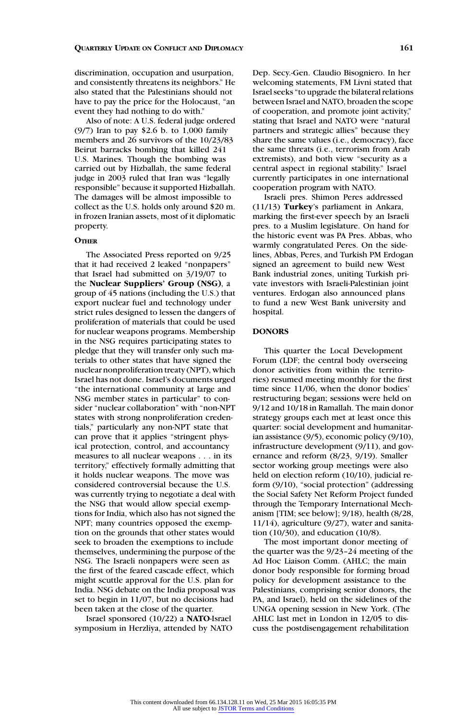discrimination, occupation and usurpation, and consistently threatens its neighbors." He also stated that the Palestinians should not have to pay the price for the Holocaust, "an event they had nothing to do with."

Also of note: A U.S. federal judge ordered (9/7) Iran to pay \$2.6 b. to 1,000 family members and 26 survivors of the 10/23/83 Beirut barracks bombing that killed 241 U.S. Marines. Though the bombing was carried out by Hizballah, the same federal judge in 2003 ruled that Iran was "legally responsible" because it supported Hizballah. The damages will be almost impossible to collect as the U.S. holds only around \$20 m. in frozen Iranian assets, most of it diplomatic property.

## **OTHER**

The Associated Press reported on 9/25 that it had received 2 leaked "nonpapers" that Israel had submitted on 3/19/07 to the **Nuclear Suppliers' Group (NSG)**, a group of 45 nations (including the U.S.) that export nuclear fuel and technology under strict rules designed to lessen the dangers of proliferation of materials that could be used for nuclear weapons programs. Membership in the NSG requires participating states to pledge that they will transfer only such materials to other states that have signed the nuclear nonproliferation treaty (NPT), which Israel has not done. Israel's documents urged "the international community at large and NSG member states in particular" to consider "nuclear collaboration" with "non-NPT states with strong nonproliferation credentials," particularly any non-NPT state that can prove that it applies "stringent physical protection, control, and accountancy measures to all nuclear weapons . . . in its territory," effectively formally admitting that it holds nuclear weapons. The move was considered controversial because the U.S. was currently trying to negotiate a deal with the NSG that would allow special exemptions for India, which also has not signed the NPT; many countries opposed the exemption on the grounds that other states would seek to broaden the exemptions to include themselves, undermining the purpose of the NSG. The Israeli nonpapers were seen as the first of the feared cascade effect, which might scuttle approval for the U.S. plan for India. NSG debate on the India proposal was set to begin in 11/07, but no decisions had been taken at the close of the quarter.

Israel sponsored (10/22) a **NATO**-Israel symposium in Herzliya, attended by NATO Dep. Secy.-Gen. Claudio Bisogniero. In her welcoming statements, FM Livni stated that Israel seeks "to upgrade the bilateral relations between Israel and NATO, broaden the scope of cooperation, and promote joint activity," stating that Israel and NATO were "natural partners and strategic allies" because they share the same values (i.e., democracy), face the same threats (i.e., terrorism from Arab extremists), and both view "security as a central aspect in regional stability." Israel currently participates in one international cooperation program with NATO.

Israeli pres. Shimon Peres addressed (11/13) **Turkey**'s parliament in Ankara, marking the first-ever speech by an Israeli pres. to a Muslim legislature. On hand for the historic event was PA Pres. Abbas, who warmly congratulated Peres. On the sidelines, Abbas, Peres, and Turkish PM Erdogan signed an agreement to build new West Bank industrial zones, uniting Turkish private investors with Israeli-Palestinian joint ventures. Erdogan also announced plans to fund a new West Bank university and hospital.

### **DONORS**

This quarter the Local Development Forum (LDF; the central body overseeing donor activities from within the territories) resumed meeting monthly for the first time since 11/06, when the donor bodies' restructuring began; sessions were held on 9/12 and 10/18 in Ramallah. The main donor strategy groups each met at least once this quarter: social development and humanitarian assistance (9/5), economic policy (9/10), infrastructure development (9/11), and governance and reform (8/23, 9/19). Smaller sector working group meetings were also held on election reform (10/10), judicial reform (9/10), "social protection" (addressing the Social Safety Net Reform Project funded through the Temporary International Mechanism [TIM; see below]; 9/18), health (8/28, 11/14), agriculture (9/27), water and sanitation (10/30), and education (10/8).

The most important donor meeting of the quarter was the 9/23–24 meeting of the Ad Hoc Liaison Comm. (AHLC; the main donor body responsible for forming broad policy for development assistance to the Palestinians, comprising senior donors, the PA, and Israel), held on the sidelines of the UNGA opening session in New York. (The AHLC last met in London in 12/05 to discuss the postdisengagement rehabilitation